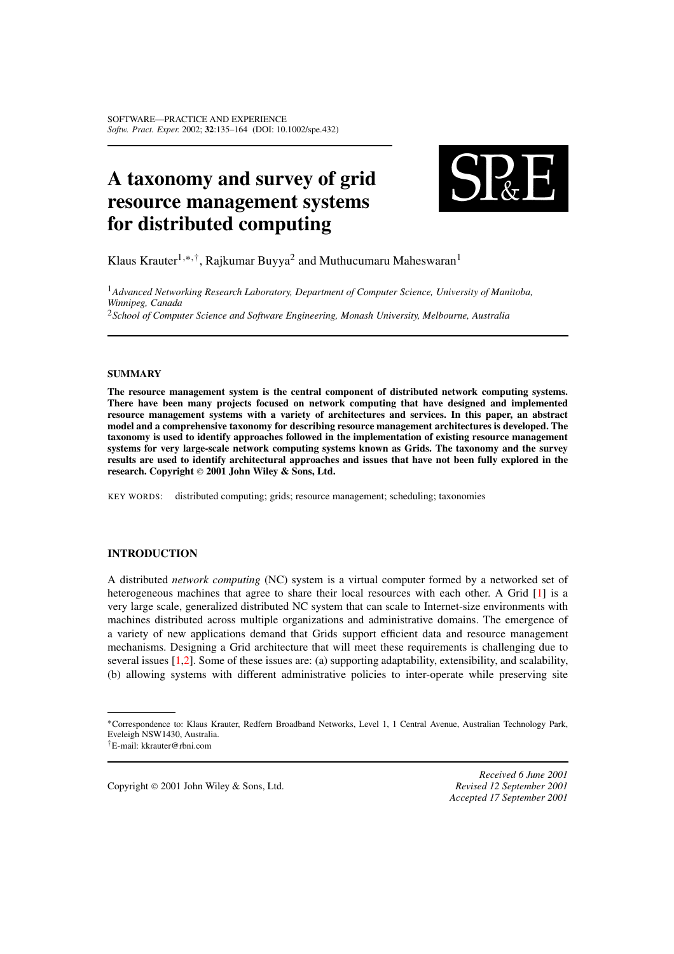# **A taxonomy and survey of grid resource management systems for distributed computing**



Klaus Krauter<sup>1,∗,†</sup>, Rajkumar Buyya<sup>2</sup> and Muthucumaru Maheswaran<sup>1</sup>

<sup>1</sup>*Advanced Networking Research Laboratory, Department of Computer Science, University of Manitoba, Winnipeg, Canada*

<sup>2</sup>*School of Computer Science and Software Engineering, Monash University, Melbourne, Australia*

# **SUMMARY**

**The resource management system is the central component of distributed network computing systems. There have been many projects focused on network computing that have designed and implemented resource management systems with a variety of architectures and services. In this paper, an abstract model and a comprehensive taxonomy for describing resource management architectures is developed. The taxonomy is used to identify approaches followed in the implementation of existing resource management systems for very large-scale network computing systems known as Grids. The taxonomy and the survey results are used to identify architectural approaches and issues that have not been fully explored in the research. Copyright 2001 John Wiley & Sons, Ltd.**

KEY WORDS: distributed computing; grids; resource management; scheduling; taxonomies

# **INTRODUCTION**

A distributed *network computing* (NC) system is a virtual computer formed by a networked set of heterogeneous machines that agree to share their local resources with each other. A Grid [[1\]](#page-27-1) is a very large scale, generalized distributed NC system that can scale to Internet-size environments with machines distributed across multiple organizations and administrative domains. The emergence of a variety of new applications demand that Grids support efficient data and resource management mechanisms. Designing a Grid architecture that will meet these requirements is challenging due to several issues [[1](#page-27-1)[,2](#page-27-0)]. Some of these issues are: (a) supporting adaptability, extensibility, and scalability, (b) allowing systems with different administrative policies to inter-operate while preserving site

Copyright  $\odot$  2001 John Wiley & Sons, Ltd.

*Received 6 June 2001 Revised 12 September 2001 Accepted 17 September 2001*

<sup>∗</sup>Correspondence to: Klaus Krauter, Redfern Broadband Networks, Level 1, 1 Central Avenue, Australian Technology Park, Eveleigh NSW1430, Australia. †E-mail: kkrauter@rbni.com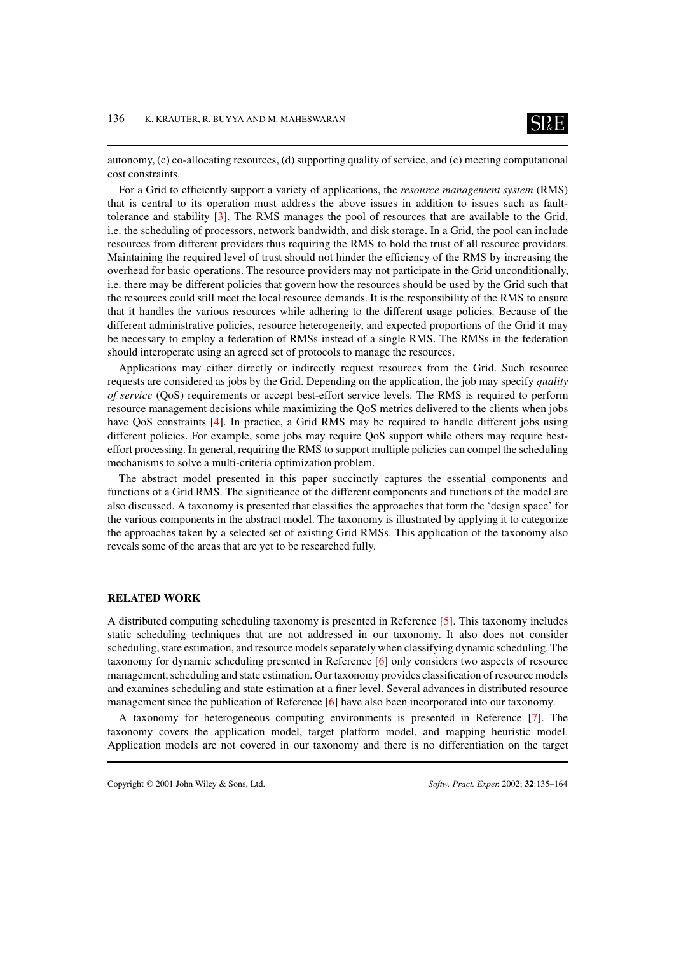

autonomy, (c) co-allocating resources, (d) supporting quality of service, and (e) meeting computational cost constraints.

For a Grid to efficiently support a variety of applications, the *resource management system* (RMS) that is central to its operation must address the above issues in addition to issues such as faulttolerance and stability [\[3](#page-27-5)]. The RMS manages the pool of resources that are available to the Grid, i.e. the scheduling of processors, network bandwidth, and disk storage. In a Grid, the pool can include resources from different providers thus requiring the RMS to hold the trust of all resource providers. Maintaining the required level of trust should not hinder the efficiency of the RMS by increasing the overhead for basic operations. The resource providers may not participate in the Grid unconditionally, i.e. there may be different policies that govern how the resources should be used by the Grid such that the resources could still meet the local resource demands. It is the responsibility of the RMS to ensure that it handles the various resources while adhering to the different usage policies. Because of the different administrative policies, resource heterogeneity, and expected proportions of the Grid it may be necessary to employ a federation of RMSs instead of a single RMS. The RMSs in the federation should interoperate using an agreed set of protocols to manage the resources.

Applications may either directly or indirectly request resources from the Grid. Such resource requests are considered as jobs by the Grid. Depending on the application, the job may specify *quality of service* (QoS) requirements or accept best-effort service levels. The RMS is required to perform resource management decisions while maximizing the QoS metrics delivered to the clients when jobs have QoS constraints [[4\]](#page-27-3). In practice, a Grid RMS may be required to handle different jobs using different policies. For example, some jobs may require QoS support while others may require besteffort processing. In general, requiring the RMS to support multiple policies can compel the scheduling mechanisms to solve a multi-criteria optimization problem.

The abstract model presented in this paper succinctly captures the essential components and functions of a Grid RMS. The significance of the different components and functions of the model are also discussed. A taxonomy is presented that classifies the approaches that form the 'design space' for the various components in the abstract model. The taxonomy is illustrated by applying it to categorize the approaches taken by a selected set of existing Grid RMSs. This application of the taxonomy also reveals some of the areas that are yet to be researched fully.

## **RELATED WORK**

A distributed computing scheduling taxonomy is presented in Reference [\[5\]](#page-27-6). This taxonomy includes static scheduling techniques that are not addressed in our taxonomy. It also does not consider scheduling, state estimation, and resource models separately when classifying dynamic scheduling. The taxonomy for dynamic scheduling presented in Reference [\[6](#page-27-2)] only considers two aspects of resource management, scheduling and state estimation. Our taxonomy provides classification of resource models and examines scheduling and state estimation at a finer level. Several advances in distributed resource management since the publication of Reference [\[6](#page-27-2)] have also been incorporated into our taxonomy.

A taxonomy for heterogeneous computing environments is presented in Reference [\[7\]](#page-27-4). The taxonomy covers the application model, target platform model, and mapping heuristic model. Application models are not covered in our taxonomy and there is no differentiation on the target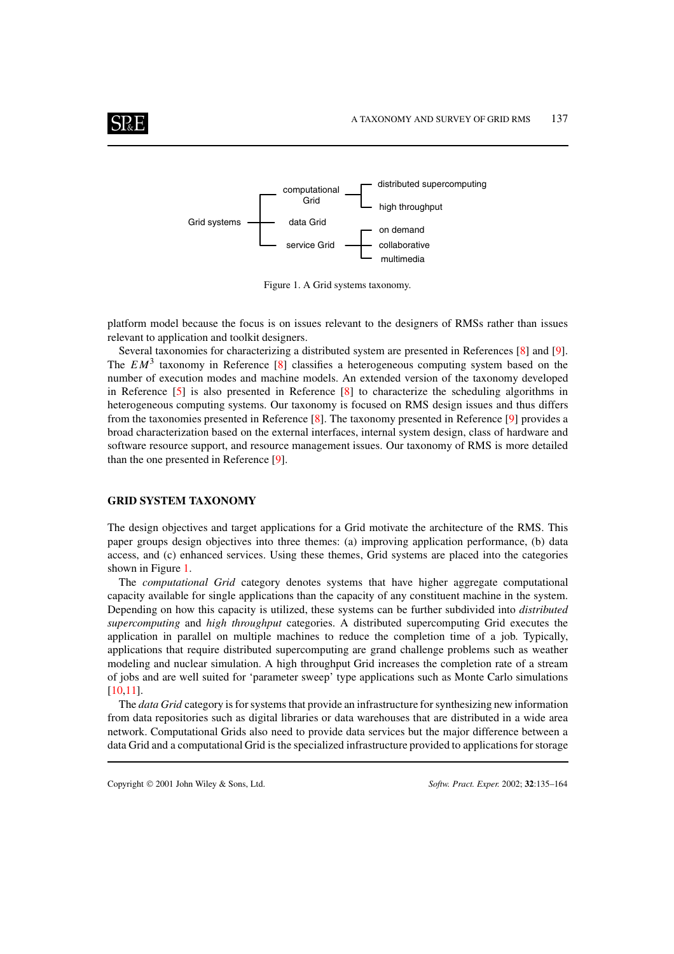<span id="page-2-0"></span>

Figure 1. A Grid systems taxonomy.

platform model because the focus is on issues relevant to the designers of RMSs rather than issues relevant to application and toolkit designers.

Several taxonomies for characterizing a distributed system are presented in References [\[8](#page-27-8)] and [[9\]](#page-27-7). The *EM*<sup>3</sup> taxonomy in Reference [\[8](#page-27-8)] classifies a heterogeneous computing system based on the number of execution modes and machine models. An extended version of the taxonomy developed in Reference [[5\]](#page-27-6) is also presented in Reference [[8\]](#page-27-8) to characterize the scheduling algorithms in heterogeneous computing systems. Our taxonomy is focused on RMS design issues and thus differs from the taxonomies presented in Reference [[8\]](#page-27-8). The taxonomy presented in Reference [\[9](#page-27-7)] provides a broad characterization based on the external interfaces, internal system design, class of hardware and software resource support, and resource management issues. Our taxonomy of RMS is more detailed than the one presented in Reference [\[9](#page-27-7)].

# **GRID SYSTEM TAXONOMY**

The design objectives and target applications for a Grid motivate the architecture of the RMS. This paper groups design objectives into three themes: (a) improving application performance, (b) data access, and (c) enhanced services. Using these themes, Grid systems are placed into the categories shown in Figure [1.](#page-2-0)

The *computational Grid* category denotes systems that have higher aggregate computational capacity available for single applications than the capacity of any constituent machine in the system. Depending on how this capacity is utilized, these systems can be further subdivided into *distributed supercomputing* and *high throughput* categories. A distributed supercomputing Grid executes the application in parallel on multiple machines to reduce the completion time of a job. Typically, applications that require distributed supercomputing are grand challenge problems such as weather modeling and nuclear simulation. A high throughput Grid increases the completion rate of a stream of jobs and are well suited for 'parameter sweep' type applications such as Monte Carlo simulations [\[10](#page-28-1),[11\]](#page-28-0).

The *data Grid* category is for systems that provide an infrastructure for synthesizing new information from data repositories such as digital libraries or data warehouses that are distributed in a wide area network. Computational Grids also need to provide data services but the major difference between a data Grid and a computational Grid is the specialized infrastructure provided to applications for storage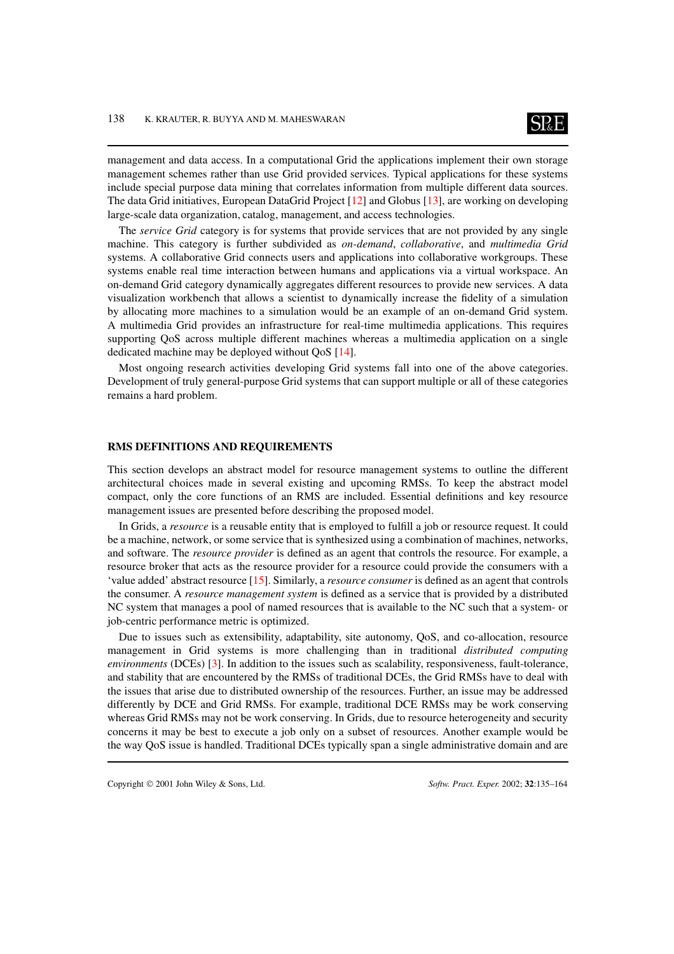management and data access. In a computational Grid the applications implement their own storage management schemes rather than use Grid provided services. Typical applications for these systems include special purpose data mining that correlates information from multiple different data sources. The data Grid initiatives, European DataGrid Project [\[12](#page-28-5)] and Globus [[13\]](#page-28-3), are working on developing large-scale data organization, catalog, management, and access technologies.

The *service Grid* category is for systems that provide services that are not provided by any single machine. This category is further subdivided as *on-demand*, *collaborative*, and *multimedia Grid* systems. A collaborative Grid connects users and applications into collaborative workgroups. These systems enable real time interaction between humans and applications via a virtual workspace. An on-demand Grid category dynamically aggregates different resources to provide new services. A data visualization workbench that allows a scientist to dynamically increase the fidelity of a simulation by allocating more machines to a simulation would be an example of an on-demand Grid system. A multimedia Grid provides an infrastructure for real-time multimedia applications. This requires supporting QoS across multiple different machines whereas a multimedia application on a single dedicated machine may be deployed without QoS [[14\]](#page-28-4).

Most ongoing research activities developing Grid systems fall into one of the above categories. Development of truly general-purpose Grid systems that can support multiple or all of these categories remains a hard problem.

#### **RMS DEFINITIONS AND REQUIREMENTS**

This section develops an abstract model for resource management systems to outline the different architectural choices made in several existing and upcoming RMSs. To keep the abstract model compact, only the core functions of an RMS are included. Essential definitions and key resource management issues are presented before describing the proposed model.

In Grids, a *resource* is a reusable entity that is employed to fulfill a job or resource request. It could be a machine, network, or some service that is synthesized using a combination of machines, networks, and software. The *resource provider* is defined as an agent that controls the resource. For example, a resource broker that acts as the resource provider for a resource could provide the consumers with a 'value added' abstract resource [\[15](#page-28-2)]. Similarly, a *resource consumer* is defined as an agent that controls the consumer. A *resource management system* is defined as a service that is provided by a distributed NC system that manages a pool of named resources that is available to the NC such that a system- or job-centric performance metric is optimized.

Due to issues such as extensibility, adaptability, site autonomy, QoS, and co-allocation, resource management in Grid systems is more challenging than in traditional *distributed computing environments* (DCEs) [[3\]](#page-27-5). In addition to the issues such as scalability, responsiveness, fault-tolerance, and stability that are encountered by the RMSs of traditional DCEs, the Grid RMSs have to deal with the issues that arise due to distributed ownership of the resources. Further, an issue may be addressed differently by DCE and Grid RMSs. For example, traditional DCE RMSs may be work conserving whereas Grid RMSs may not be work conserving. In Grids, due to resource heterogeneity and security concerns it may be best to execute a job only on a subset of resources. Another example would be the way QoS issue is handled. Traditional DCEs typically span a single administrative domain and are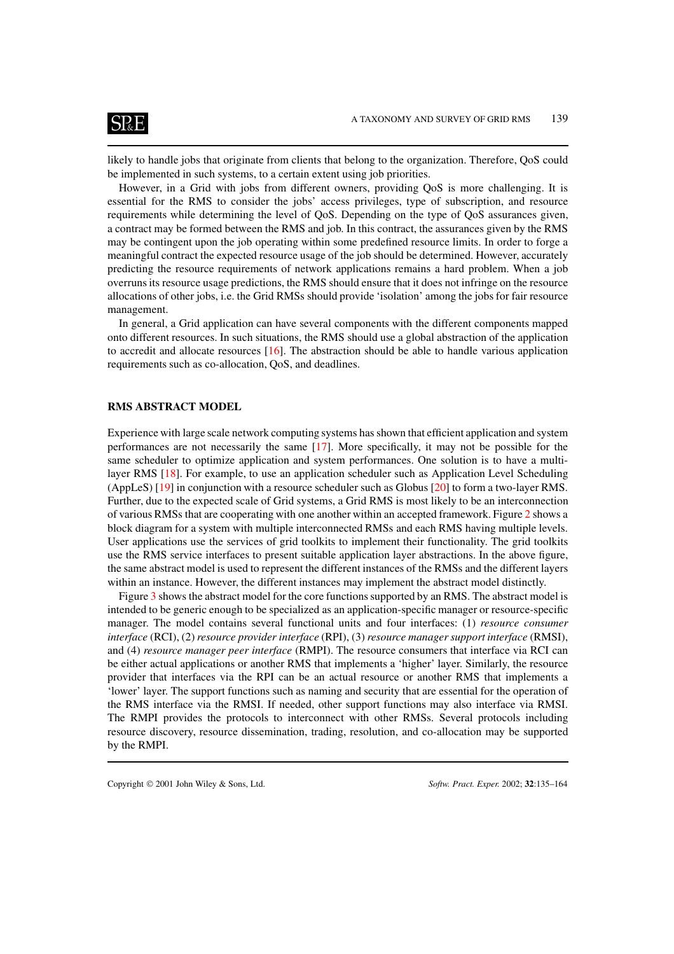likely to handle jobs that originate from clients that belong to the organization. Therefore, QoS could be implemented in such systems, to a certain extent using job priorities.

However, in a Grid with jobs from different owners, providing QoS is more challenging. It is essential for the RMS to consider the jobs' access privileges, type of subscription, and resource requirements while determining the level of QoS. Depending on the type of QoS assurances given, a contract may be formed between the RMS and job. In this contract, the assurances given by the RMS may be contingent upon the job operating within some predefined resource limits. In order to forge a meaningful contract the expected resource usage of the job should be determined. However, accurately predicting the resource requirements of network applications remains a hard problem. When a job overruns its resource usage predictions, the RMS should ensure that it does not infringe on the resource allocations of other jobs, i.e. the Grid RMSs should provide 'isolation' among the jobs for fair resource management.

In general, a Grid application can have several components with the different components mapped onto different resources. In such situations, the RMS should use a global abstraction of the application to accredit and allocate resources [[16\]](#page-28-9). The abstraction should be able to handle various application requirements such as co-allocation, QoS, and deadlines.

## **RMS ABSTRACT MODEL**

Experience with large scale network computing systems has shown that efficient application and system performances are not necessarily the same [[17\]](#page-28-8). More specifically, it may not be possible for the same scheduler to optimize application and system performances. One solution is to have a multi-layer RMS [\[18](#page-28-10)]. For example, to use an application scheduler such as Application Level Scheduling (AppLeS) [\[19](#page-28-7)] in conjunction with a resource scheduler such as Globus [[20\]](#page-28-6) to form a two-layer RMS. Further, due to the expected scale of Grid systems, a Grid RMS is most likely to be an interconnection of various RMSs that are cooperating with one another within an accepted framework. Figure [2](#page-5-0) shows a block diagram for a system with multiple interconnected RMSs and each RMS having multiple levels. User applications use the services of grid toolkits to implement their functionality. The grid toolkits use the RMS service interfaces to present suitable application layer abstractions. In the above figure, the same abstract model is used to represent the different instances of the RMSs and the different layers within an instance. However, the different instances may implement the abstract model distinctly.

Figure [3](#page-5-1) shows the abstract model for the core functions supported by an RMS. The abstract model is intended to be generic enough to be specialized as an application-specific manager or resource-specific manager. The model contains several functional units and four interfaces: (1) *resource consumer interface* (RCI), (2) *resource provider interface* (RPI), (3) *resource manager support interface* (RMSI), and (4) *resource manager peer interface* (RMPI). The resource consumers that interface via RCI can be either actual applications or another RMS that implements a 'higher' layer. Similarly, the resource provider that interfaces via the RPI can be an actual resource or another RMS that implements a 'lower' layer. The support functions such as naming and security that are essential for the operation of the RMS interface via the RMSI. If needed, other support functions may also interface via RMSI. The RMPI provides the protocols to interconnect with other RMSs. Several protocols including resource discovery, resource dissemination, trading, resolution, and co-allocation may be supported by the RMPI.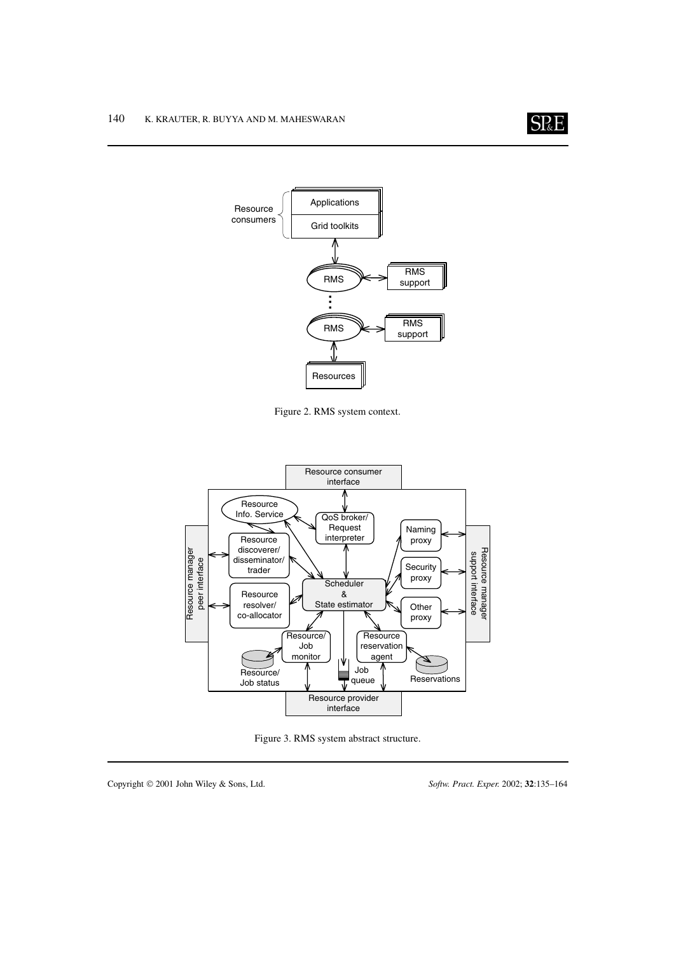

<span id="page-5-0"></span>

Figure 2. RMS system context.

<span id="page-5-1"></span>

Figure 3. RMS system abstract structure.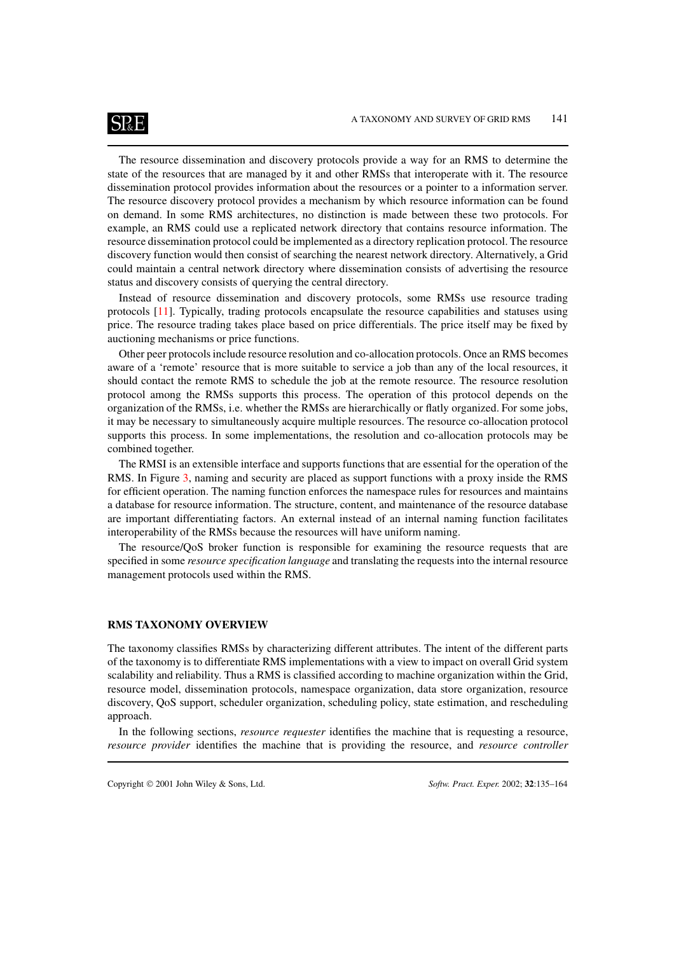# $SRE$

The resource dissemination and discovery protocols provide a way for an RMS to determine the state of the resources that are managed by it and other RMSs that interoperate with it. The resource dissemination protocol provides information about the resources or a pointer to a information server. The resource discovery protocol provides a mechanism by which resource information can be found on demand. In some RMS architectures, no distinction is made between these two protocols. For example, an RMS could use a replicated network directory that contains resource information. The resource dissemination protocol could be implemented as a directory replication protocol. The resource discovery function would then consist of searching the nearest network directory. Alternatively, a Grid could maintain a central network directory where dissemination consists of advertising the resource status and discovery consists of querying the central directory.

Instead of resource dissemination and discovery protocols, some RMSs use resource trading protocols [\[11](#page-28-0)]. Typically, trading protocols encapsulate the resource capabilities and statuses using price. The resource trading takes place based on price differentials. The price itself may be fixed by auctioning mechanisms or price functions.

Other peer protocols include resource resolution and co-allocation protocols. Once an RMS becomes aware of a 'remote' resource that is more suitable to service a job than any of the local resources, it should contact the remote RMS to schedule the job at the remote resource. The resource resolution protocol among the RMSs supports this process. The operation of this protocol depends on the organization of the RMSs, i.e. whether the RMSs are hierarchically or flatly organized. For some jobs, it may be necessary to simultaneously acquire multiple resources. The resource co-allocation protocol supports this process. In some implementations, the resolution and co-allocation protocols may be combined together.

The RMSI is an extensible interface and supports functions that are essential for the operation of the RMS. In Figure [3,](#page-5-1) naming and security are placed as support functions with a proxy inside the RMS for efficient operation. The naming function enforces the namespace rules for resources and maintains a database for resource information. The structure, content, and maintenance of the resource database are important differentiating factors. An external instead of an internal naming function facilitates interoperability of the RMSs because the resources will have uniform naming.

The resource/QoS broker function is responsible for examining the resource requests that are specified in some *resource specification language* and translating the requests into the internal resource management protocols used within the RMS.

# **RMS TAXONOMY OVERVIEW**

The taxonomy classifies RMSs by characterizing different attributes. The intent of the different parts of the taxonomy is to differentiate RMS implementations with a view to impact on overall Grid system scalability and reliability. Thus a RMS is classified according to machine organization within the Grid, resource model, dissemination protocols, namespace organization, data store organization, resource discovery, QoS support, scheduler organization, scheduling policy, state estimation, and rescheduling approach.

In the following sections, *resource requester* identifies the machine that is requesting a resource, *resource provider* identifies the machine that is providing the resource, and *resource controller*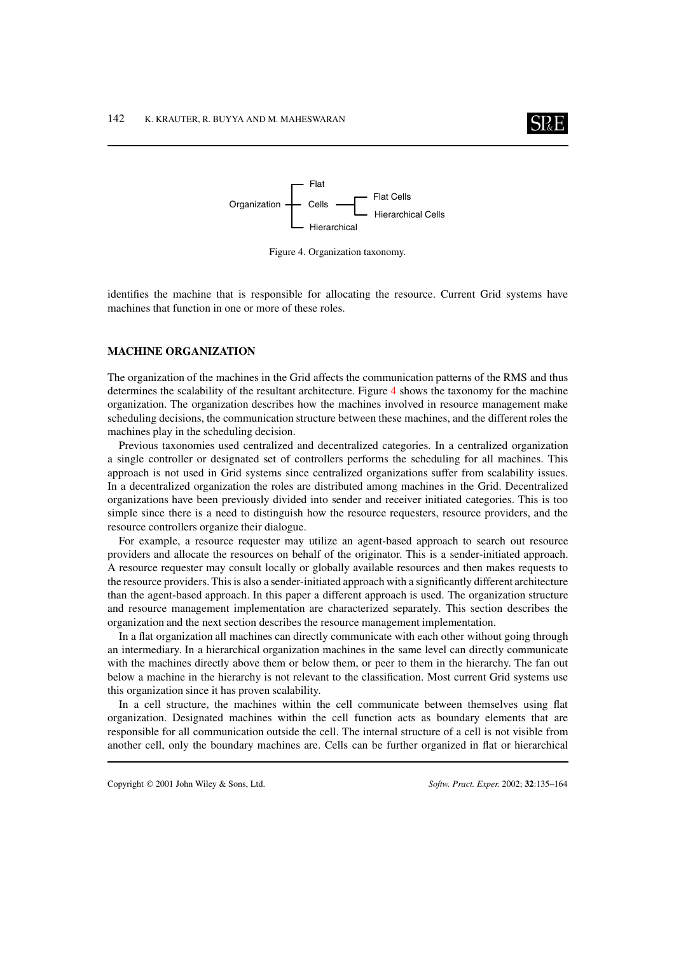

<span id="page-7-0"></span>

Figure 4. Organization taxonomy.

identifies the machine that is responsible for allocating the resource. Current Grid systems have machines that function in one or more of these roles.

# **MACHINE ORGANIZATION**

The organization of the machines in the Grid affects the communication patterns of the RMS and thus determines the scalability of the resultant architecture. Figure [4](#page-7-0) shows the taxonomy for the machine organization. The organization describes how the machines involved in resource management make scheduling decisions, the communication structure between these machines, and the different roles the machines play in the scheduling decision.

Previous taxonomies used centralized and decentralized categories. In a centralized organization a single controller or designated set of controllers performs the scheduling for all machines. This approach is not used in Grid systems since centralized organizations suffer from scalability issues. In a decentralized organization the roles are distributed among machines in the Grid. Decentralized organizations have been previously divided into sender and receiver initiated categories. This is too simple since there is a need to distinguish how the resource requesters, resource providers, and the resource controllers organize their dialogue.

For example, a resource requester may utilize an agent-based approach to search out resource providers and allocate the resources on behalf of the originator. This is a sender-initiated approach. A resource requester may consult locally or globally available resources and then makes requests to the resource providers. This is also a sender-initiated approach with a significantly different architecture than the agent-based approach. In this paper a different approach is used. The organization structure and resource management implementation are characterized separately. This section describes the organization and the next section describes the resource management implementation.

In a flat organization all machines can directly communicate with each other without going through an intermediary. In a hierarchical organization machines in the same level can directly communicate with the machines directly above them or below them, or peer to them in the hierarchy. The fan out below a machine in the hierarchy is not relevant to the classification. Most current Grid systems use this organization since it has proven scalability.

In a cell structure, the machines within the cell communicate between themselves using flat organization. Designated machines within the cell function acts as boundary elements that are responsible for all communication outside the cell. The internal structure of a cell is not visible from another cell, only the boundary machines are. Cells can be further organized in flat or hierarchical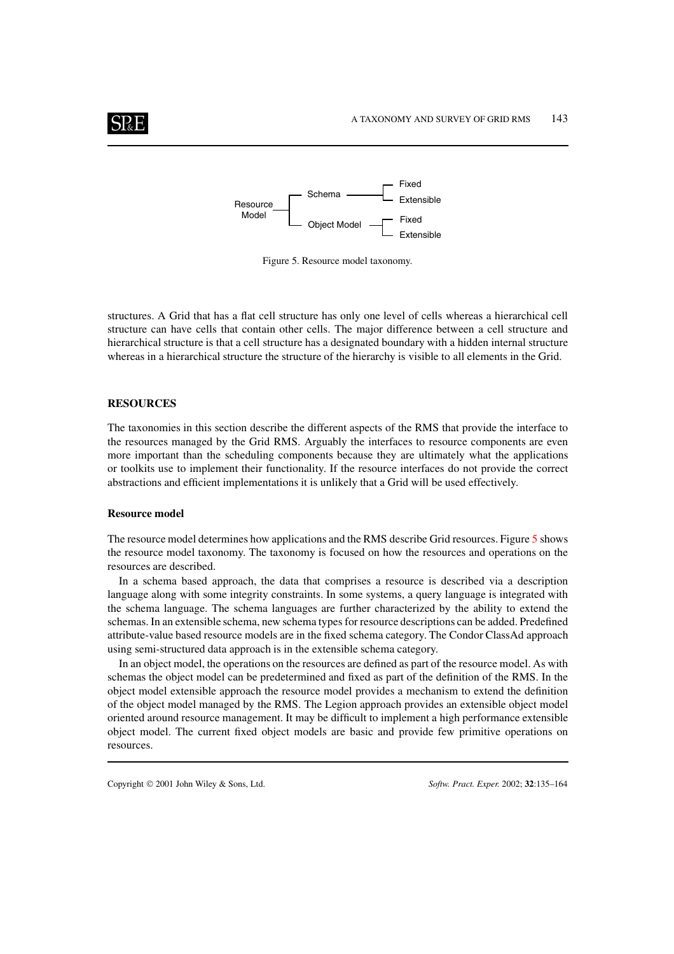

Figure 5. Resource model taxonomy.

structures. A Grid that has a flat cell structure has only one level of cells whereas a hierarchical cell structure can have cells that contain other cells. The major difference between a cell structure and hierarchical structure is that a cell structure has a designated boundary with a hidden internal structure whereas in a hierarchical structure the structure of the hierarchy is visible to all elements in the Grid.

# **RESOURCES**

The taxonomies in this section describe the different aspects of the RMS that provide the interface to the resources managed by the Grid RMS. Arguably the interfaces to resource components are even more important than the scheduling components because they are ultimately what the applications or toolkits use to implement their functionality. If the resource interfaces do not provide the correct abstractions and efficient implementations it is unlikely that a Grid will be used effectively.

#### **Resource model**

The resource model determines how applications and the RMS describe Grid resources. Figure [5](#page-8-0) shows the resource model taxonomy. The taxonomy is focused on how the resources and operations on the resources are described.

In a schema based approach, the data that comprises a resource is described via a description language along with some integrity constraints. In some systems, a query language is integrated with the schema language. The schema languages are further characterized by the ability to extend the schemas. In an extensible schema, new schema types for resource descriptions can be added. Predefined attribute-value based resource models are in the fixed schema category. The Condor ClassAd approach using semi-structured data approach is in the extensible schema category.

In an object model, the operations on the resources are defined as part of the resource model. As with schemas the object model can be predetermined and fixed as part of the definition of the RMS. In the object model extensible approach the resource model provides a mechanism to extend the definition of the object model managed by the RMS. The Legion approach provides an extensible object model oriented around resource management. It may be difficult to implement a high performance extensible object model. The current fixed object models are basic and provide few primitive operations on resources.

<span id="page-8-0"></span>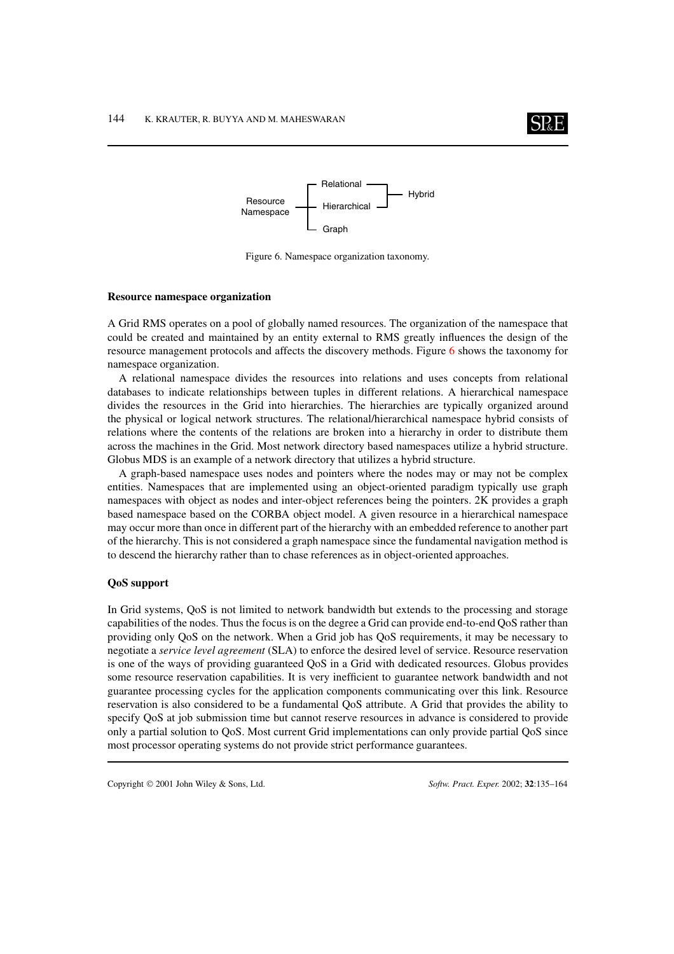

<span id="page-9-0"></span>

Figure 6. Namespace organization taxonomy.

#### **Resource namespace organization**

A Grid RMS operates on a pool of globally named resources. The organization of the namespace that could be created and maintained by an entity external to RMS greatly influences the design of the resource management protocols and affects the discovery methods. Figure [6](#page-9-0) shows the taxonomy for namespace organization.

A relational namespace divides the resources into relations and uses concepts from relational databases to indicate relationships between tuples in different relations. A hierarchical namespace divides the resources in the Grid into hierarchies. The hierarchies are typically organized around the physical or logical network structures. The relational/hierarchical namespace hybrid consists of relations where the contents of the relations are broken into a hierarchy in order to distribute them across the machines in the Grid. Most network directory based namespaces utilize a hybrid structure. Globus MDS is an example of a network directory that utilizes a hybrid structure.

A graph-based namespace uses nodes and pointers where the nodes may or may not be complex entities. Namespaces that are implemented using an object-oriented paradigm typically use graph namespaces with object as nodes and inter-object references being the pointers. 2K provides a graph based namespace based on the CORBA object model. A given resource in a hierarchical namespace may occur more than once in different part of the hierarchy with an embedded reference to another part of the hierarchy. This is not considered a graph namespace since the fundamental navigation method is to descend the hierarchy rather than to chase references as in object-oriented approaches.

#### **QoS support**

In Grid systems, QoS is not limited to network bandwidth but extends to the processing and storage capabilities of the nodes. Thus the focus is on the degree a Grid can provide end-to-end QoS rather than providing only QoS on the network. When a Grid job has QoS requirements, it may be necessary to negotiate a *service level agreement* (SLA) to enforce the desired level of service. Resource reservation is one of the ways of providing guaranteed QoS in a Grid with dedicated resources. Globus provides some resource reservation capabilities. It is very inefficient to guarantee network bandwidth and not guarantee processing cycles for the application components communicating over this link. Resource reservation is also considered to be a fundamental QoS attribute. A Grid that provides the ability to specify QoS at job submission time but cannot reserve resources in advance is considered to provide only a partial solution to QoS. Most current Grid implementations can only provide partial QoS since most processor operating systems do not provide strict performance guarantees.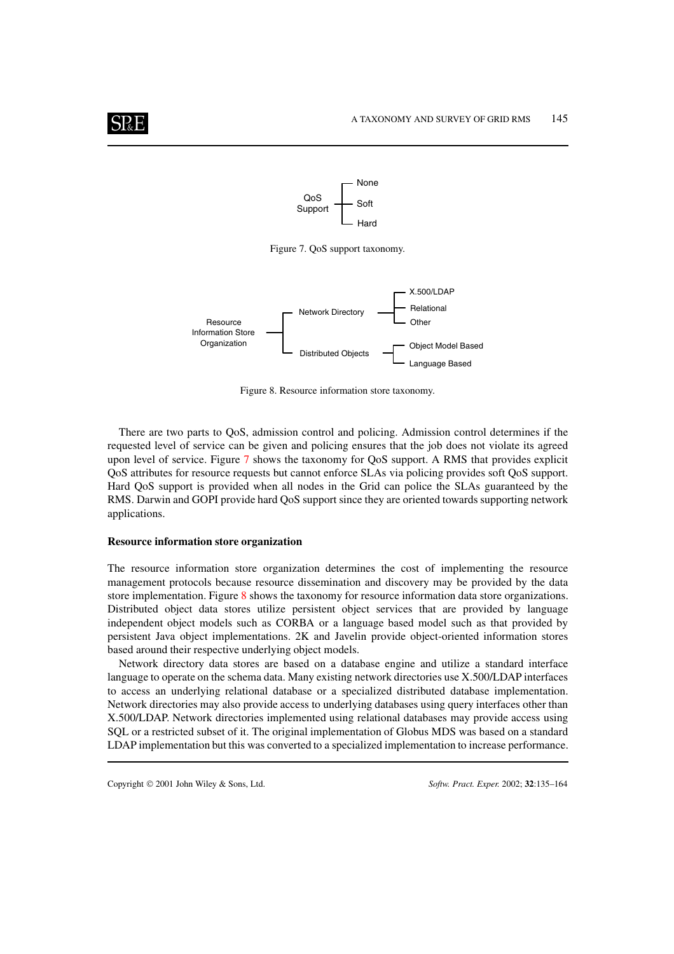

Figure 7. QoS support taxonomy.

<span id="page-10-1"></span><span id="page-10-0"></span>

Figure 8. Resource information store taxonomy.

There are two parts to QoS, admission control and policing. Admission control determines if the requested level of service can be given and policing ensures that the job does not violate its agreed upon level of service. Figure [7](#page-10-1) shows the taxonomy for QoS support. A RMS that provides explicit QoS attributes for resource requests but cannot enforce SLAs via policing provides soft QoS support. Hard QoS support is provided when all nodes in the Grid can police the SLAs guaranteed by the RMS. Darwin and GOPI provide hard QoS support since they are oriented towards supporting network applications.

#### **Resource information store organization**

The resource information store organization determines the cost of implementing the resource management protocols because resource dissemination and discovery may be provided by the data store implementation. Figure [8](#page-10-0) shows the taxonomy for resource information data store organizations. Distributed object data stores utilize persistent object services that are provided by language independent object models such as CORBA or a language based model such as that provided by persistent Java object implementations. 2K and Javelin provide object-oriented information stores based around their respective underlying object models.

Network directory data stores are based on a database engine and utilize a standard interface language to operate on the schema data. Many existing network directories use X.500/LDAP interfaces to access an underlying relational database or a specialized distributed database implementation. Network directories may also provide access to underlying databases using query interfaces other than X.500/LDAP. Network directories implemented using relational databases may provide access using SQL or a restricted subset of it. The original implementation of Globus MDS was based on a standard LDAP implementation but this was converted to a specialized implementation to increase performance.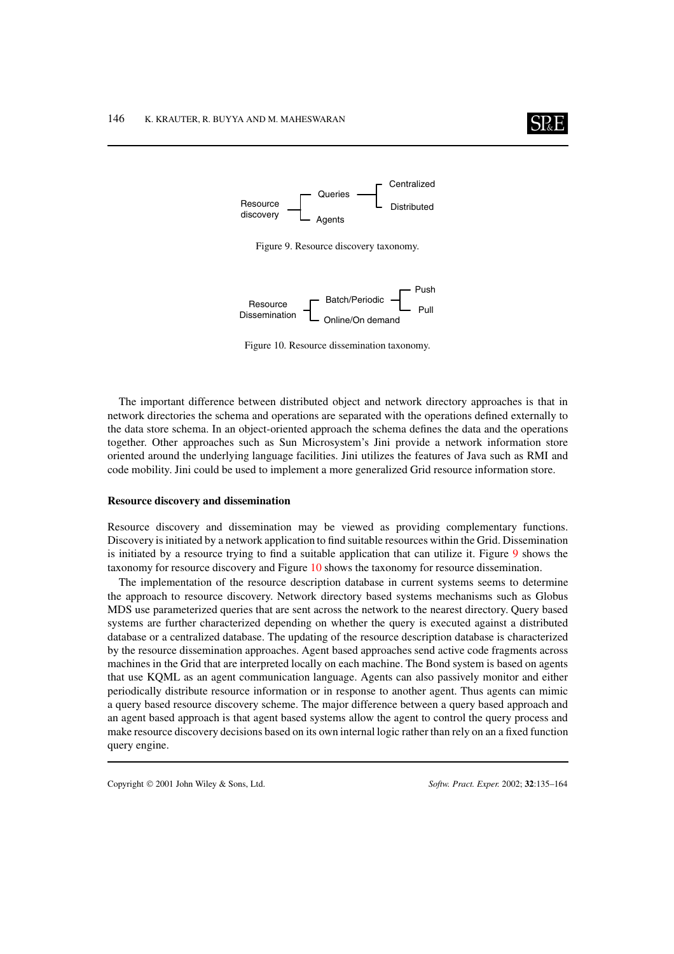<span id="page-11-0"></span>

Figure 9. Resource discovery taxonomy.

<span id="page-11-1"></span>

Figure 10. Resource dissemination taxonomy.

The important difference between distributed object and network directory approaches is that in network directories the schema and operations are separated with the operations defined externally to the data store schema. In an object-oriented approach the schema defines the data and the operations together. Other approaches such as Sun Microsystem's Jini provide a network information store oriented around the underlying language facilities. Jini utilizes the features of Java such as RMI and code mobility. Jini could be used to implement a more generalized Grid resource information store.

#### **Resource discovery and dissemination**

Resource discovery and dissemination may be viewed as providing complementary functions. Discovery is initiated by a network application to find suitable resources within the Grid. Dissemination is initiated by a resource trying to find a suitable application that can utilize it. Figure [9](#page-11-0) shows the taxonomy for resource discovery and Figure [10](#page-11-1) shows the taxonomy for resource dissemination.

The implementation of the resource description database in current systems seems to determine the approach to resource discovery. Network directory based systems mechanisms such as Globus MDS use parameterized queries that are sent across the network to the nearest directory. Query based systems are further characterized depending on whether the query is executed against a distributed database or a centralized database. The updating of the resource description database is characterized by the resource dissemination approaches. Agent based approaches send active code fragments across machines in the Grid that are interpreted locally on each machine. The Bond system is based on agents that use KQML as an agent communication language. Agents can also passively monitor and either periodically distribute resource information or in response to another agent. Thus agents can mimic a query based resource discovery scheme. The major difference between a query based approach and an agent based approach is that agent based systems allow the agent to control the query process and make resource discovery decisions based on its own internal logic rather than rely on an a fixed function query engine.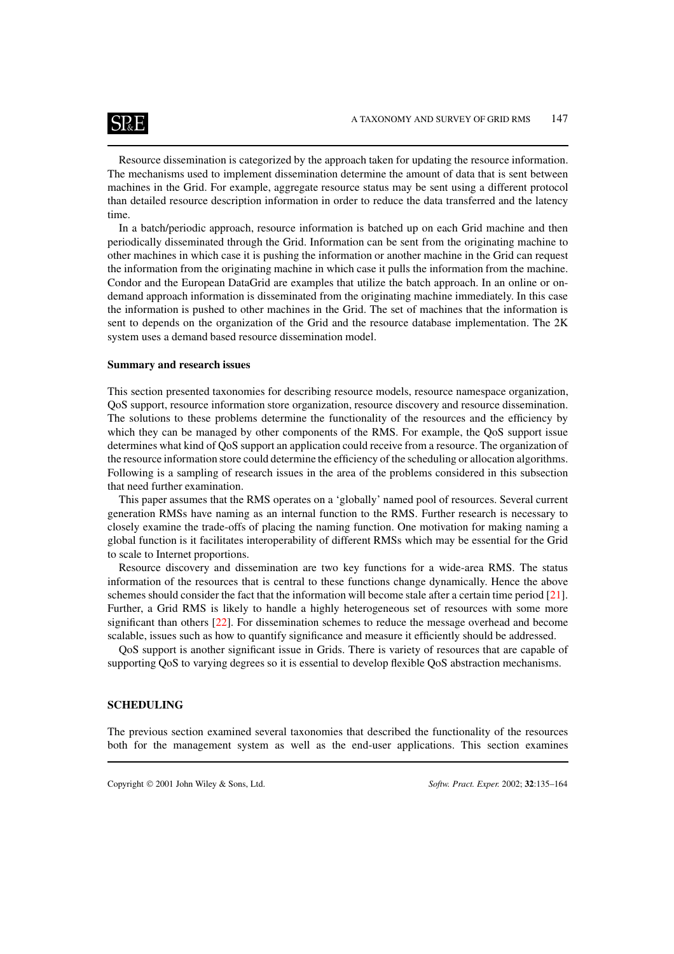Resource dissemination is categorized by the approach taken for updating the resource information. The mechanisms used to implement dissemination determine the amount of data that is sent between machines in the Grid. For example, aggregate resource status may be sent using a different protocol than detailed resource description information in order to reduce the data transferred and the latency time.

In a batch/periodic approach, resource information is batched up on each Grid machine and then periodically disseminated through the Grid. Information can be sent from the originating machine to other machines in which case it is pushing the information or another machine in the Grid can request the information from the originating machine in which case it pulls the information from the machine. Condor and the European DataGrid are examples that utilize the batch approach. In an online or ondemand approach information is disseminated from the originating machine immediately. In this case the information is pushed to other machines in the Grid. The set of machines that the information is sent to depends on the organization of the Grid and the resource database implementation. The 2K system uses a demand based resource dissemination model.

# **Summary and research issues**

This section presented taxonomies for describing resource models, resource namespace organization, QoS support, resource information store organization, resource discovery and resource dissemination. The solutions to these problems determine the functionality of the resources and the efficiency by which they can be managed by other components of the RMS. For example, the QoS support issue determines what kind of QoS support an application could receive from a resource. The organization of the resource information store could determine the efficiency of the scheduling or allocation algorithms. Following is a sampling of research issues in the area of the problems considered in this subsection that need further examination.

This paper assumes that the RMS operates on a 'globally' named pool of resources. Several current generation RMSs have naming as an internal function to the RMS. Further research is necessary to closely examine the trade-offs of placing the naming function. One motivation for making naming a global function is it facilitates interoperability of different RMSs which may be essential for the Grid to scale to Internet proportions.

Resource discovery and dissemination are two key functions for a wide-area RMS. The status information of the resources that is central to these functions change dynamically. Hence the above schemes should consider the fact that the information will become stale after a certain time period [[21\]](#page-28-12). Further, a Grid RMS is likely to handle a highly heterogeneous set of resources with some more significant than others [\[22\]](#page-28-11). For dissemination schemes to reduce the message overhead and become scalable, issues such as how to quantify significance and measure it efficiently should be addressed.

QoS support is another significant issue in Grids. There is variety of resources that are capable of supporting QoS to varying degrees so it is essential to develop flexible QoS abstraction mechanisms.

## **SCHEDULING**

The previous section examined several taxonomies that described the functionality of the resources both for the management system as well as the end-user applications. This section examines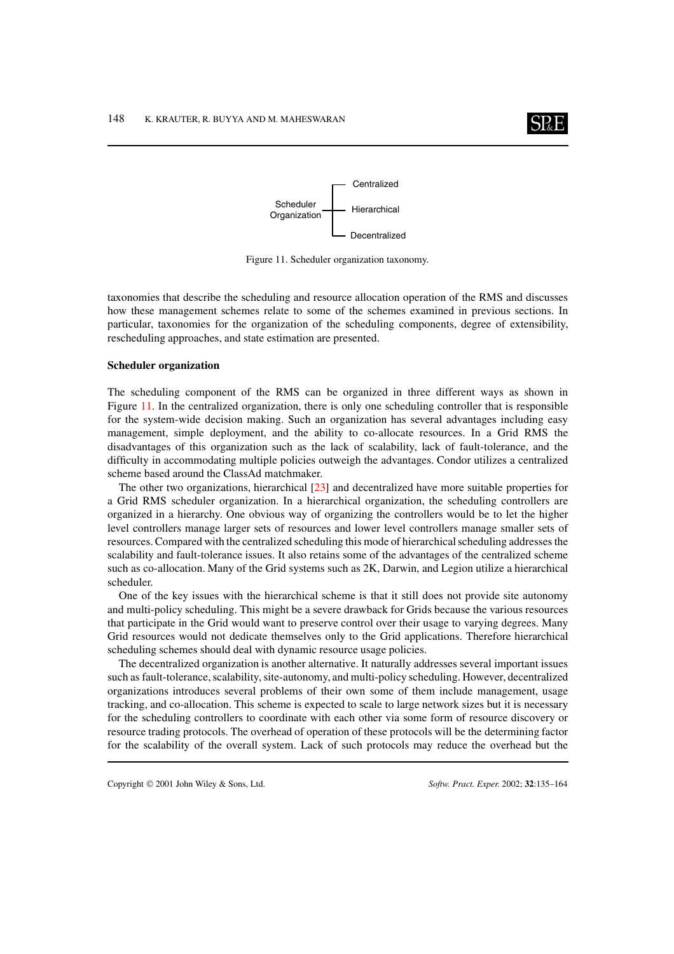

<span id="page-13-0"></span>

Figure 11. Scheduler organization taxonomy.

taxonomies that describe the scheduling and resource allocation operation of the RMS and discusses how these management schemes relate to some of the schemes examined in previous sections. In particular, taxonomies for the organization of the scheduling components, degree of extensibility, rescheduling approaches, and state estimation are presented.

#### **Scheduler organization**

The scheduling component of the RMS can be organized in three different ways as shown in Figure [11](#page-13-0). In the centralized organization, there is only one scheduling controller that is responsible for the system-wide decision making. Such an organization has several advantages including easy management, simple deployment, and the ability to co-allocate resources. In a Grid RMS the disadvantages of this organization such as the lack of scalability, lack of fault-tolerance, and the difficulty in accommodating multiple policies outweigh the advantages. Condor utilizes a centralized scheme based around the ClassAd matchmaker.

The other two organizations, hierarchical [\[23\]](#page-28-13) and decentralized have more suitable properties for a Grid RMS scheduler organization. In a hierarchical organization, the scheduling controllers are organized in a hierarchy. One obvious way of organizing the controllers would be to let the higher level controllers manage larger sets of resources and lower level controllers manage smaller sets of resources. Compared with the centralized scheduling this mode of hierarchical scheduling addresses the scalability and fault-tolerance issues. It also retains some of the advantages of the centralized scheme such as co-allocation. Many of the Grid systems such as 2K, Darwin, and Legion utilize a hierarchical scheduler.

One of the key issues with the hierarchical scheme is that it still does not provide site autonomy and multi-policy scheduling. This might be a severe drawback for Grids because the various resources that participate in the Grid would want to preserve control over their usage to varying degrees. Many Grid resources would not dedicate themselves only to the Grid applications. Therefore hierarchical scheduling schemes should deal with dynamic resource usage policies.

The decentralized organization is another alternative. It naturally addresses several important issues such as fault-tolerance, scalability, site-autonomy, and multi-policy scheduling. However, decentralized organizations introduces several problems of their own some of them include management, usage tracking, and co-allocation. This scheme is expected to scale to large network sizes but it is necessary for the scheduling controllers to coordinate with each other via some form of resource discovery or resource trading protocols. The overhead of operation of these protocols will be the determining factor for the scalability of the overall system. Lack of such protocols may reduce the overhead but the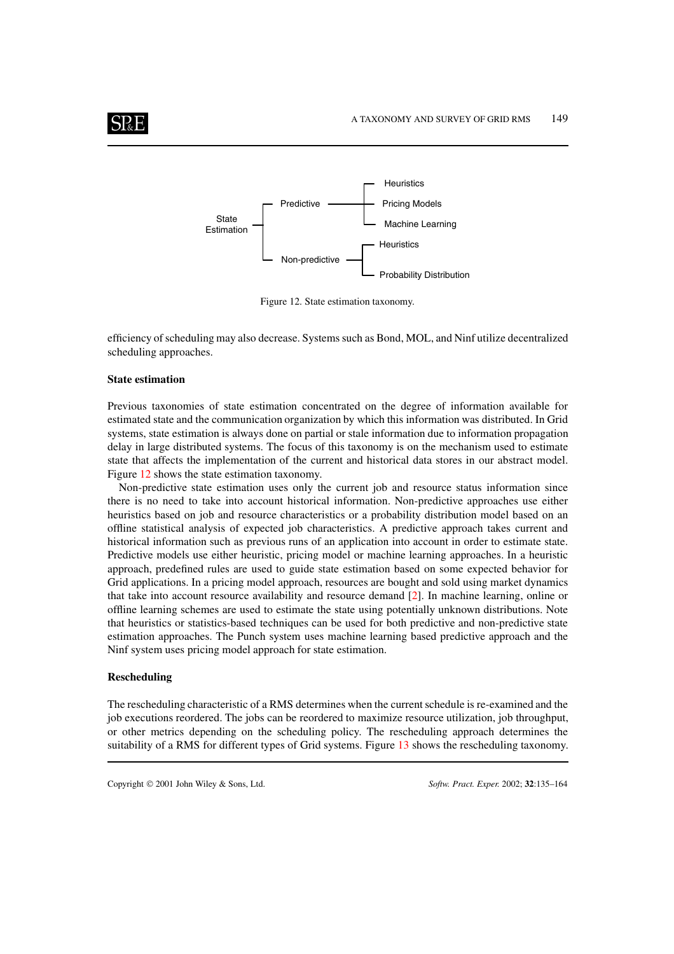<span id="page-14-0"></span>



Figure 12. State estimation taxonomy.

efficiency of scheduling may also decrease. Systems such as Bond, MOL, and Ninf utilize decentralized scheduling approaches.

# **State estimation**

Previous taxonomies of state estimation concentrated on the degree of information available for estimated state and the communication organization by which this information was distributed. In Grid systems, state estimation is always done on partial or stale information due to information propagation delay in large distributed systems. The focus of this taxonomy is on the mechanism used to estimate state that affects the implementation of the current and historical data stores in our abstract model. Figure [12](#page-14-0) shows the state estimation taxonomy.

Non-predictive state estimation uses only the current job and resource status information since there is no need to take into account historical information. Non-predictive approaches use either heuristics based on job and resource characteristics or a probability distribution model based on an offline statistical analysis of expected job characteristics. A predictive approach takes current and historical information such as previous runs of an application into account in order to estimate state. Predictive models use either heuristic, pricing model or machine learning approaches. In a heuristic approach, predefined rules are used to guide state estimation based on some expected behavior for Grid applications. In a pricing model approach, resources are bought and sold using market dynamics that take into account resource availability and resource demand [[2\]](#page-27-0). In machine learning, online or offline learning schemes are used to estimate the state using potentially unknown distributions. Note that heuristics or statistics-based techniques can be used for both predictive and non-predictive state estimation approaches. The Punch system uses machine learning based predictive approach and the Ninf system uses pricing model approach for state estimation.

#### **Rescheduling**

The rescheduling characteristic of a RMS determines when the current schedule is re-examined and the job executions reordered. The jobs can be reordered to maximize resource utilization, job throughput, or other metrics depending on the scheduling policy. The rescheduling approach determines the suitability of a RMS for different types of Grid systems. Figure [13](#page-15-0) shows the rescheduling taxonomy.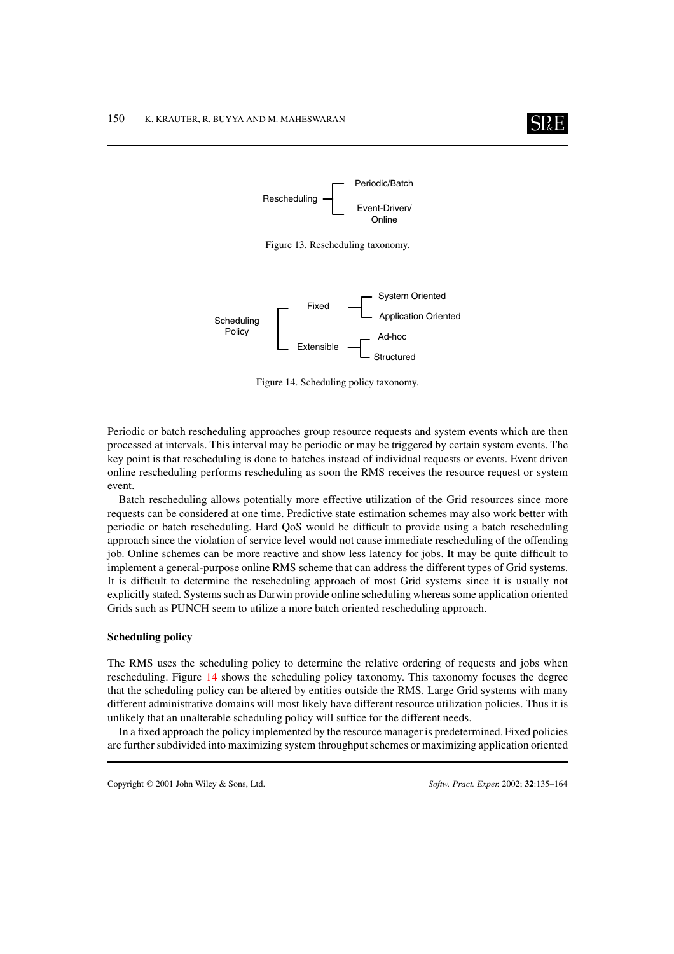<span id="page-15-0"></span>

Figure 13. Rescheduling taxonomy.

<span id="page-15-1"></span>

Figure 14. Scheduling policy taxonomy.

Periodic or batch rescheduling approaches group resource requests and system events which are then processed at intervals. This interval may be periodic or may be triggered by certain system events. The key point is that rescheduling is done to batches instead of individual requests or events. Event driven online rescheduling performs rescheduling as soon the RMS receives the resource request or system event.

Batch rescheduling allows potentially more effective utilization of the Grid resources since more requests can be considered at one time. Predictive state estimation schemes may also work better with periodic or batch rescheduling. Hard QoS would be difficult to provide using a batch rescheduling approach since the violation of service level would not cause immediate rescheduling of the offending job. Online schemes can be more reactive and show less latency for jobs. It may be quite difficult to implement a general-purpose online RMS scheme that can address the different types of Grid systems. It is difficult to determine the rescheduling approach of most Grid systems since it is usually not explicitly stated. Systems such as Darwin provide online scheduling whereas some application oriented Grids such as PUNCH seem to utilize a more batch oriented rescheduling approach.

# **Scheduling policy**

The RMS uses the scheduling policy to determine the relative ordering of requests and jobs when rescheduling. Figure [14](#page-15-1) shows the scheduling policy taxonomy. This taxonomy focuses the degree that the scheduling policy can be altered by entities outside the RMS. Large Grid systems with many different administrative domains will most likely have different resource utilization policies. Thus it is unlikely that an unalterable scheduling policy will suffice for the different needs.

In a fixed approach the policy implemented by the resource manager is predetermined. Fixed policies are further subdivided into maximizing system throughput schemes or maximizing application oriented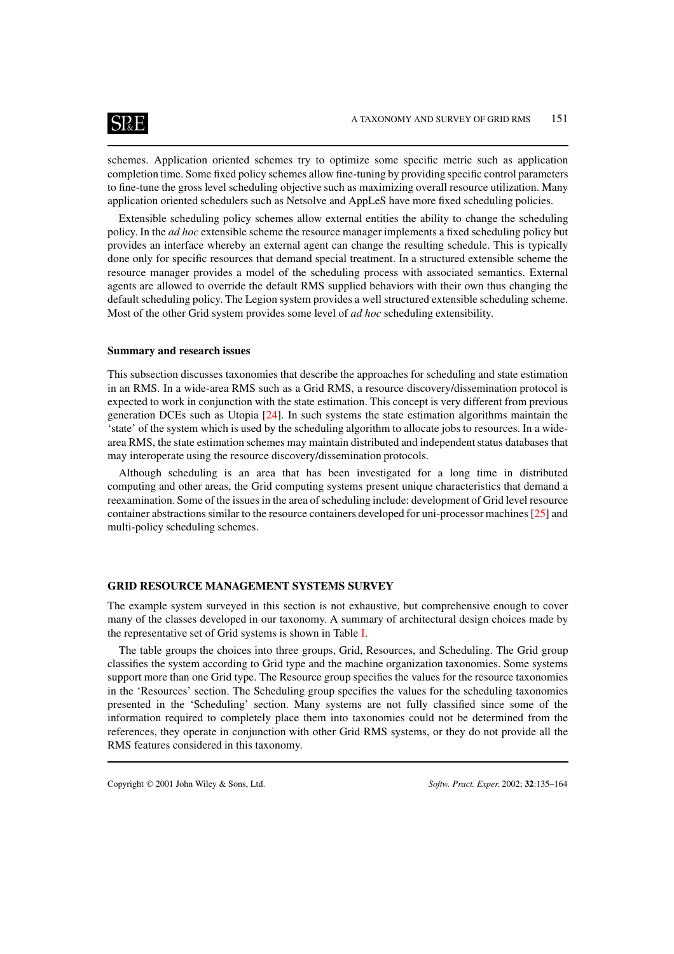schemes. Application oriented schemes try to optimize some specific metric such as application completion time. Some fixed policy schemes allow fine-tuning by providing specific control parameters to fine-tune the gross level scheduling objective such as maximizing overall resource utilization. Many application oriented schedulers such as Netsolve and AppLeS have more fixed scheduling policies.

Extensible scheduling policy schemes allow external entities the ability to change the scheduling policy. In the *ad hoc* extensible scheme the resource manager implements a fixed scheduling policy but provides an interface whereby an external agent can change the resulting schedule. This is typically done only for specific resources that demand special treatment. In a structured extensible scheme the resource manager provides a model of the scheduling process with associated semantics. External agents are allowed to override the default RMS supplied behaviors with their own thus changing the default scheduling policy. The Legion system provides a well structured extensible scheduling scheme. Most of the other Grid system provides some level of *ad hoc* scheduling extensibility.

## **Summary and research issues**

This subsection discusses taxonomies that describe the approaches for scheduling and state estimation in an RMS. In a wide-area RMS such as a Grid RMS, a resource discovery/dissemination protocol is expected to work in conjunction with the state estimation. This concept is very different from previous generation DCEs such as Utopia [[24\]](#page-28-15). In such systems the state estimation algorithms maintain the 'state' of the system which is used by the scheduling algorithm to allocate jobs to resources. In a widearea RMS, the state estimation schemes may maintain distributed and independent status databases that may interoperate using the resource discovery/dissemination protocols.

Although scheduling is an area that has been investigated for a long time in distributed computing and other areas, the Grid computing systems present unique characteristics that demand a reexamination. Some of the issues in the area of scheduling include: development of Grid level resource container abstractions similar to the resource containers developed for uni-processor machines [[25\]](#page-28-14) and multi-policy scheduling schemes.

# **GRID RESOURCE MANAGEMENT SYSTEMS SURVEY**

The example system surveyed in this section is not exhaustive, but comprehensive enough to cover many of the classes developed in our taxonomy. A summary of architectural design choices made by the representative set of Grid systems is shown in Table [I](#page-17-0).

The table groups the choices into three groups, Grid, Resources, and Scheduling. The Grid group classifies the system according to Grid type and the machine organization taxonomies. Some systems support more than one Grid type. The Resource group specifies the values for the resource taxonomies in the 'Resources' section. The Scheduling group specifies the values for the scheduling taxonomies presented in the 'Scheduling' section. Many systems are not fully classified since some of the information required to completely place them into taxonomies could not be determined from the references, they operate in conjunction with other Grid RMS systems, or they do not provide all the RMS features considered in this taxonomy.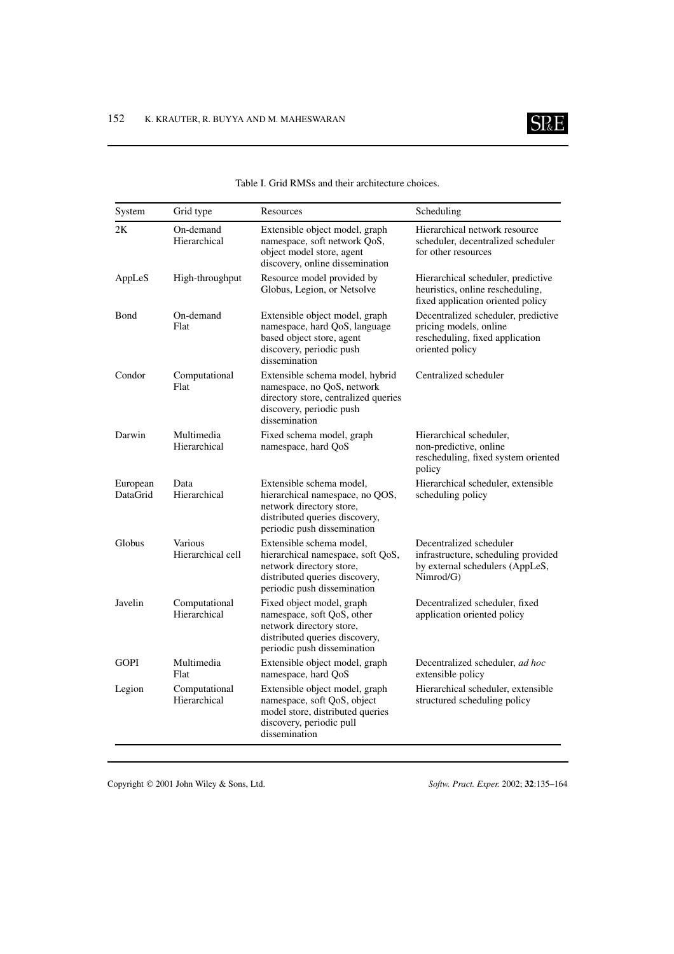

<span id="page-17-0"></span>

| System               | Grid type                     | Resources                                                                                                                                                  | Scheduling                                                                                                          |
|----------------------|-------------------------------|------------------------------------------------------------------------------------------------------------------------------------------------------------|---------------------------------------------------------------------------------------------------------------------|
| 2K                   | On-demand<br>Hierarchical     | Extensible object model, graph<br>namespace, soft network QoS,<br>object model store, agent<br>discovery, online dissemination                             | Hierarchical network resource<br>scheduler, decentralized scheduler<br>for other resources                          |
| AppLeS               | High-throughput               | Resource model provided by<br>Globus, Legion, or Netsolve                                                                                                  | Hierarchical scheduler, predictive<br>heuristics, online rescheduling,<br>fixed application oriented policy         |
| Bond                 | On-demand<br>Flat             | Extensible object model, graph<br>namespace, hard QoS, language<br>based object store, agent<br>discovery, periodic push<br>dissemination                  | Decentralized scheduler, predictive<br>pricing models, online<br>rescheduling, fixed application<br>oriented policy |
| Condor               | Computational<br>Flat         | Extensible schema model, hybrid<br>namespace, no QoS, network<br>directory store, centralized queries<br>discovery, periodic push<br>dissemination         | Centralized scheduler                                                                                               |
| Darwin               | Multimedia<br>Hierarchical    | Fixed schema model, graph<br>namespace, hard QoS                                                                                                           | Hierarchical scheduler,<br>non-predictive, online<br>rescheduling, fixed system oriented<br>policy                  |
| European<br>DataGrid | Data<br>Hierarchical          | Extensible schema model,<br>hierarchical namespace, no QOS,<br>network directory store,<br>distributed queries discovery,<br>periodic push dissemination   | Hierarchical scheduler, extensible<br>scheduling policy                                                             |
| Globus               | Various<br>Hierarchical cell  | Extensible schema model,<br>hierarchical namespace, soft QoS,<br>network directory store,<br>distributed queries discovery,<br>periodic push dissemination | Decentralized scheduler<br>infrastructure, scheduling provided<br>by external schedulers (AppLeS,<br>Nimrod/G       |
| Javelin              | Computational<br>Hierarchical | Fixed object model, graph<br>namespace, soft QoS, other<br>network directory store,<br>distributed queries discovery,<br>periodic push dissemination       | Decentralized scheduler, fixed<br>application oriented policy                                                       |
| <b>GOPI</b>          | Multimedia<br>Flat            | Extensible object model, graph<br>namespace, hard QoS                                                                                                      | Decentralized scheduler, <i>ad hoc</i><br>extensible policy                                                         |
| Legion               | Computational<br>Hierarchical | Extensible object model, graph<br>namespace, soft QoS, object<br>model store, distributed queries<br>discovery, periodic pull<br>dissemination             | Hierarchical scheduler, extensible<br>structured scheduling policy                                                  |

# Table I. Grid RMSs and their architecture choices.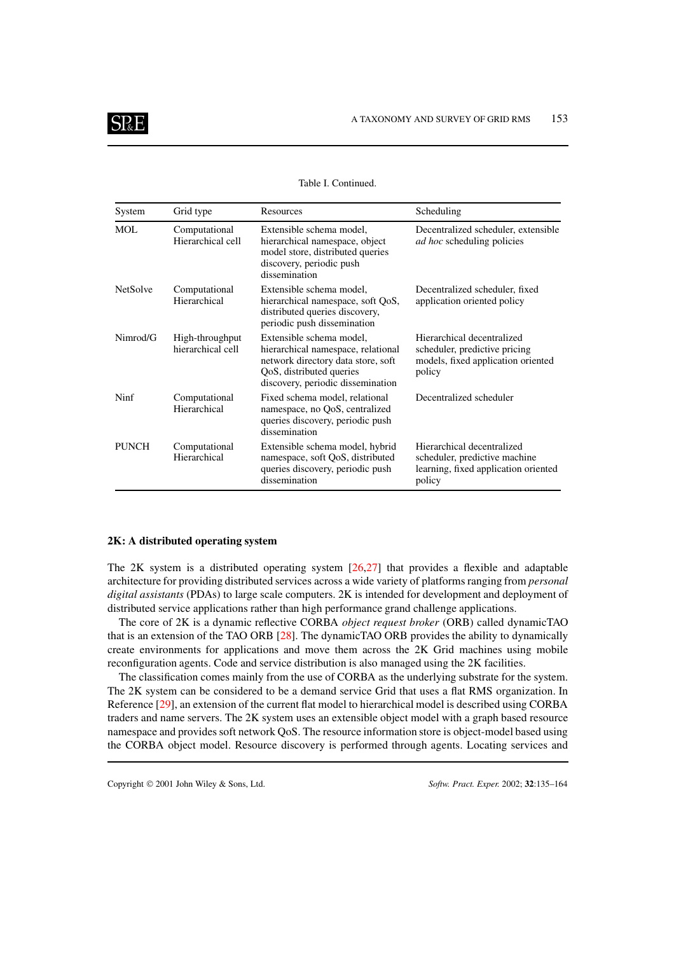

|  | Table I. Continued. |
|--|---------------------|
|--|---------------------|

| System          | Grid type                            | Resources                                                                                                                                                             | Scheduling                                                                                                    |
|-----------------|--------------------------------------|-----------------------------------------------------------------------------------------------------------------------------------------------------------------------|---------------------------------------------------------------------------------------------------------------|
| <b>MOL</b>      | Computational<br>Hierarchical cell   | Extensible schema model,<br>hierarchical namespace, object<br>model store, distributed queries<br>discovery, periodic push<br>dissemination                           | Decentralized scheduler, extensible<br><i>ad hoc</i> scheduling policies                                      |
| <b>NetSolve</b> | Computational<br>Hierarchical        | Extensible schema model,<br>hierarchical namespace, soft QoS,<br>distributed queries discovery,<br>periodic push dissemination                                        | Decentralized scheduler, fixed<br>application oriented policy                                                 |
| Nimrod/G        | High-throughput<br>hierarchical cell | Extensible schema model,<br>hierarchical namespace, relational<br>network directory data store, soft<br>QoS, distributed queries<br>discovery, periodic dissemination | Hierarchical decentralized<br>scheduler, predictive pricing<br>models, fixed application oriented<br>policy   |
| Ninf            | Computational<br>Hierarchical        | Fixed schema model, relational<br>namespace, no QoS, centralized<br>queries discovery, periodic push<br>dissemination                                                 | Decentralized scheduler                                                                                       |
| <b>PUNCH</b>    | Computational<br>Hierarchical        | Extensible schema model, hybrid<br>namespace, soft QoS, distributed<br>queries discovery, periodic push<br>dissemination                                              | Hierarchical decentralized<br>scheduler, predictive machine<br>learning, fixed application oriented<br>policy |

# **2K: A distributed operating system**

The 2K system is a distributed operating system [[26](#page-28-19)[,27](#page-28-16)] that provides a flexible and adaptable architecture for providing distributed services across a wide variety of platforms ranging from *personal digital assistants* (PDAs) to large scale computers. 2K is intended for development and deployment of distributed service applications rather than high performance grand challenge applications.

The core of 2K is a dynamic reflective CORBA *object request broker* (ORB) called dynamicTAO that is an extension of the TAO ORB [\[28](#page-28-17)]. The dynamicTAO ORB provides the ability to dynamically create environments for applications and move them across the 2K Grid machines using mobile reconfiguration agents. Code and service distribution is also managed using the 2K facilities.

The classification comes mainly from the use of CORBA as the underlying substrate for the system. The 2K system can be considered to be a demand service Grid that uses a flat RMS organization. In Reference [[29\]](#page-28-18), an extension of the current flat model to hierarchical model is described using CORBA traders and name servers. The 2K system uses an extensible object model with a graph based resource namespace and provides soft network QoS. The resource information store is object-model based using the CORBA object model. Resource discovery is performed through agents. Locating services and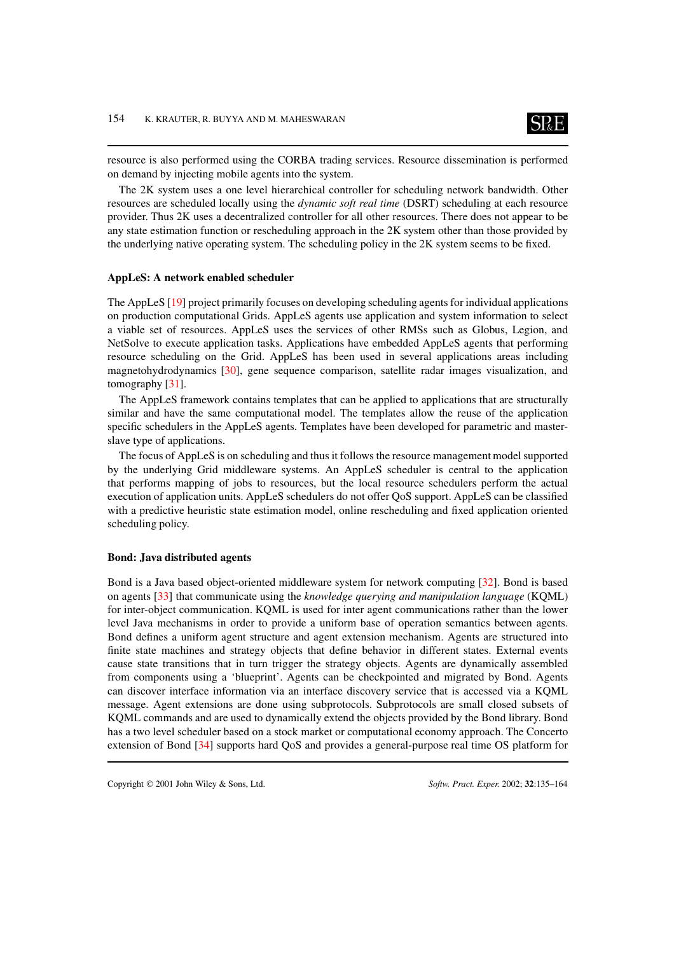

resource is also performed using the CORBA trading services. Resource dissemination is performed on demand by injecting mobile agents into the system.

The 2K system uses a one level hierarchical controller for scheduling network bandwidth. Other resources are scheduled locally using the *dynamic soft real time* (DSRT) scheduling at each resource provider. Thus 2K uses a decentralized controller for all other resources. There does not appear to be any state estimation function or rescheduling approach in the 2K system other than those provided by the underlying native operating system. The scheduling policy in the 2K system seems to be fixed.

#### **AppLeS: A network enabled scheduler**

The AppLeS [[19\]](#page-28-7) project primarily focuses on developing scheduling agents for individual applications on production computational Grids. AppLeS agents use application and system information to select a viable set of resources. AppLeS uses the services of other RMSs such as Globus, Legion, and NetSolve to execute application tasks. Applications have embedded AppLeS agents that performing resource scheduling on the Grid. AppLeS has been used in several applications areas including magnetohydrodynamics [\[30](#page-28-24)], gene sequence comparison, satellite radar images visualization, and tomography [[31\]](#page-28-23).

The AppLeS framework contains templates that can be applied to applications that are structurally similar and have the same computational model. The templates allow the reuse of the application specific schedulers in the AppLeS agents. Templates have been developed for parametric and masterslave type of applications.

The focus of AppLeS is on scheduling and thus it follows the resource management model supported by the underlying Grid middleware systems. An AppLeS scheduler is central to the application that performs mapping of jobs to resources, but the local resource schedulers perform the actual execution of application units. AppLeS schedulers do not offer QoS support. AppLeS can be classified with a predictive heuristic state estimation model, online rescheduling and fixed application oriented scheduling policy.

#### **Bond: Java distributed agents**

Bond is a Java based object-oriented middleware system for network computing [[32\]](#page-28-21). Bond is based on agents [\[33](#page-28-22)] that communicate using the *knowledge querying and manipulation language* (KQML) for inter-object communication. KQML is used for inter agent communications rather than the lower level Java mechanisms in order to provide a uniform base of operation semantics between agents. Bond defines a uniform agent structure and agent extension mechanism. Agents are structured into finite state machines and strategy objects that define behavior in different states. External events cause state transitions that in turn trigger the strategy objects. Agents are dynamically assembled from components using a 'blueprint'. Agents can be checkpointed and migrated by Bond. Agents can discover interface information via an interface discovery service that is accessed via a KQML message. Agent extensions are done using subprotocols. Subprotocols are small closed subsets of KQML commands and are used to dynamically extend the objects provided by the Bond library. Bond has a two level scheduler based on a stock market or computational economy approach. The Concerto extension of Bond [\[34](#page-28-20)] supports hard QoS and provides a general-purpose real time OS platform for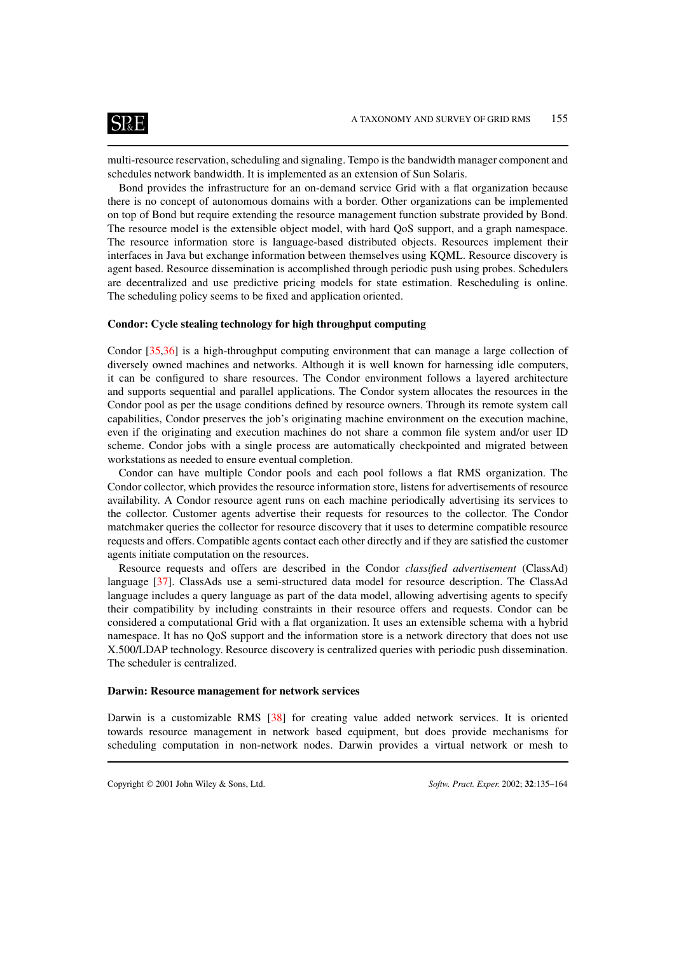multi-resource reservation, scheduling and signaling. Tempo is the bandwidth manager component and schedules network bandwidth. It is implemented as an extension of Sun Solaris.

Bond provides the infrastructure for an on-demand service Grid with a flat organization because there is no concept of autonomous domains with a border. Other organizations can be implemented on top of Bond but require extending the resource management function substrate provided by Bond. The resource model is the extensible object model, with hard QoS support, and a graph namespace. The resource information store is language-based distributed objects. Resources implement their interfaces in Java but exchange information between themselves using KQML. Resource discovery is agent based. Resource dissemination is accomplished through periodic push using probes. Schedulers are decentralized and use predictive pricing models for state estimation. Rescheduling is online. The scheduling policy seems to be fixed and application oriented.

# **Condor: Cycle stealing technology for high throughput computing**

Condor [[35,](#page-28-26)[36](#page-28-25)] is a high-throughput computing environment that can manage a large collection of diversely owned machines and networks. Although it is well known for harnessing idle computers, it can be configured to share resources. The Condor environment follows a layered architecture and supports sequential and parallel applications. The Condor system allocates the resources in the Condor pool as per the usage conditions defined by resource owners. Through its remote system call capabilities, Condor preserves the job's originating machine environment on the execution machine, even if the originating and execution machines do not share a common file system and/or user ID scheme. Condor jobs with a single process are automatically checkpointed and migrated between workstations as needed to ensure eventual completion.

Condor can have multiple Condor pools and each pool follows a flat RMS organization. The Condor collector, which provides the resource information store, listens for advertisements of resource availability. A Condor resource agent runs on each machine periodically advertising its services to the collector. Customer agents advertise their requests for resources to the collector. The Condor matchmaker queries the collector for resource discovery that it uses to determine compatible resource requests and offers. Compatible agents contact each other directly and if they are satisfied the customer agents initiate computation on the resources.

Resource requests and offers are described in the Condor *classified advertisement* (ClassAd) language [\[37\]](#page-29-0). ClassAds use a semi-structured data model for resource description. The ClassAd language includes a query language as part of the data model, allowing advertising agents to specify their compatibility by including constraints in their resource offers and requests. Condor can be considered a computational Grid with a flat organization. It uses an extensible schema with a hybrid namespace. It has no QoS support and the information store is a network directory that does not use X.500/LDAP technology. Resource discovery is centralized queries with periodic push dissemination. The scheduler is centralized.

# **Darwin: Resource management for network services**

Darwin is a customizable RMS [\[38](#page-29-1)] for creating value added network services. It is oriented towards resource management in network based equipment, but does provide mechanisms for scheduling computation in non-network nodes. Darwin provides a virtual network or mesh to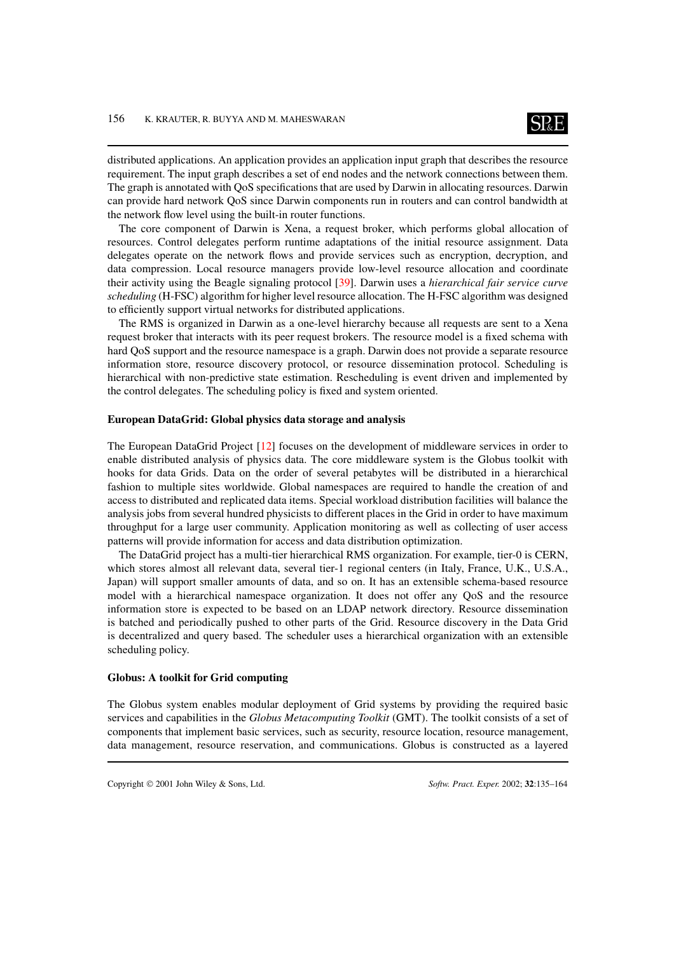

distributed applications. An application provides an application input graph that describes the resource requirement. The input graph describes a set of end nodes and the network connections between them. The graph is annotated with QoS specifications that are used by Darwin in allocating resources. Darwin can provide hard network QoS since Darwin components run in routers and can control bandwidth at the network flow level using the built-in router functions.

The core component of Darwin is Xena, a request broker, which performs global allocation of resources. Control delegates perform runtime adaptations of the initial resource assignment. Data delegates operate on the network flows and provide services such as encryption, decryption, and data compression. Local resource managers provide low-level resource allocation and coordinate their activity using the Beagle signaling protocol [\[39](#page-29-2)]. Darwin uses a *hierarchical fair service curve scheduling* (H-FSC) algorithm for higher level resource allocation. The H-FSC algorithm was designed to efficiently support virtual networks for distributed applications.

The RMS is organized in Darwin as a one-level hierarchy because all requests are sent to a Xena request broker that interacts with its peer request brokers. The resource model is a fixed schema with hard QoS support and the resource namespace is a graph. Darwin does not provide a separate resource information store, resource discovery protocol, or resource dissemination protocol. Scheduling is hierarchical with non-predictive state estimation. Rescheduling is event driven and implemented by the control delegates. The scheduling policy is fixed and system oriented.

## **European DataGrid: Global physics data storage and analysis**

The European DataGrid Project [[12\]](#page-28-5) focuses on the development of middleware services in order to enable distributed analysis of physics data. The core middleware system is the Globus toolkit with hooks for data Grids. Data on the order of several petabytes will be distributed in a hierarchical fashion to multiple sites worldwide. Global namespaces are required to handle the creation of and access to distributed and replicated data items. Special workload distribution facilities will balance the analysis jobs from several hundred physicists to different places in the Grid in order to have maximum throughput for a large user community. Application monitoring as well as collecting of user access patterns will provide information for access and data distribution optimization.

The DataGrid project has a multi-tier hierarchical RMS organization. For example, tier-0 is CERN, which stores almost all relevant data, several tier-1 regional centers (in Italy, France, U.K., U.S.A., Japan) will support smaller amounts of data, and so on. It has an extensible schema-based resource model with a hierarchical namespace organization. It does not offer any QoS and the resource information store is expected to be based on an LDAP network directory. Resource dissemination is batched and periodically pushed to other parts of the Grid. Resource discovery in the Data Grid is decentralized and query based. The scheduler uses a hierarchical organization with an extensible scheduling policy.

#### **Globus: A toolkit for Grid computing**

The Globus system enables modular deployment of Grid systems by providing the required basic services and capabilities in the *Globus Metacomputing Toolkit* (GMT). The toolkit consists of a set of components that implement basic services, such as security, resource location, resource management, data management, resource reservation, and communications. Globus is constructed as a layered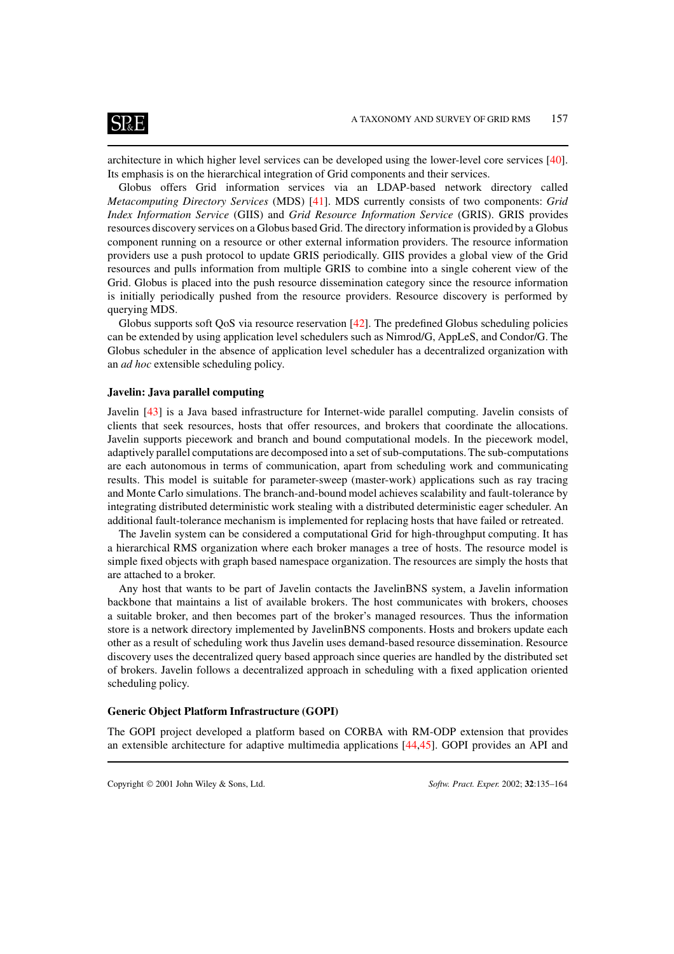architecture in which higher level services can be developed using the lower-level core services [[40\]](#page-29-3). Its emphasis is on the hierarchical integration of Grid components and their services.

Globus offers Grid information services via an LDAP-based network directory called *Metacomputing Directory Services* (MDS) [\[41](#page-29-6)]. MDS currently consists of two components: *Grid Index Information Service* (GIIS) and *Grid Resource Information Service* (GRIS). GRIS provides resources discovery services on a Globus based Grid. The directory information is provided by a Globus component running on a resource or other external information providers. The resource information providers use a push protocol to update GRIS periodically. GIIS provides a global view of the Grid resources and pulls information from multiple GRIS to combine into a single coherent view of the Grid. Globus is placed into the push resource dissemination category since the resource information is initially periodically pushed from the resource providers. Resource discovery is performed by querying MDS.

Globus supports soft QoS via resource reservation [[42\]](#page-29-4). The predefined Globus scheduling policies can be extended by using application level schedulers such as Nimrod/G, AppLeS, and Condor/G. The Globus scheduler in the absence of application level scheduler has a decentralized organization with an *ad hoc* extensible scheduling policy.

# **Javelin: Java parallel computing**

Javelin [[43\]](#page-29-5) is a Java based infrastructure for Internet-wide parallel computing. Javelin consists of clients that seek resources, hosts that offer resources, and brokers that coordinate the allocations. Javelin supports piecework and branch and bound computational models. In the piecework model, adaptively parallel computations are decomposed into a set of sub-computations. The sub-computations are each autonomous in terms of communication, apart from scheduling work and communicating results. This model is suitable for parameter-sweep (master-work) applications such as ray tracing and Monte Carlo simulations. The branch-and-bound model achieves scalability and fault-tolerance by integrating distributed deterministic work stealing with a distributed deterministic eager scheduler. An additional fault-tolerance mechanism is implemented for replacing hosts that have failed or retreated.

The Javelin system can be considered a computational Grid for high-throughput computing. It has a hierarchical RMS organization where each broker manages a tree of hosts. The resource model is simple fixed objects with graph based namespace organization. The resources are simply the hosts that are attached to a broker.

Any host that wants to be part of Javelin contacts the JavelinBNS system, a Javelin information backbone that maintains a list of available brokers. The host communicates with brokers, chooses a suitable broker, and then becomes part of the broker's managed resources. Thus the information store is a network directory implemented by JavelinBNS components. Hosts and brokers update each other as a result of scheduling work thus Javelin uses demand-based resource dissemination. Resource discovery uses the decentralized query based approach since queries are handled by the distributed set of brokers. Javelin follows a decentralized approach in scheduling with a fixed application oriented scheduling policy.

# **Generic Object Platform Infrastructure (GOPI)**

The GOPI project developed a platform based on CORBA with RM-ODP extension that provides an extensible architecture for adaptive multimedia applications [\[44](#page-29-7),[45\]](#page-29-8). GOPI provides an API and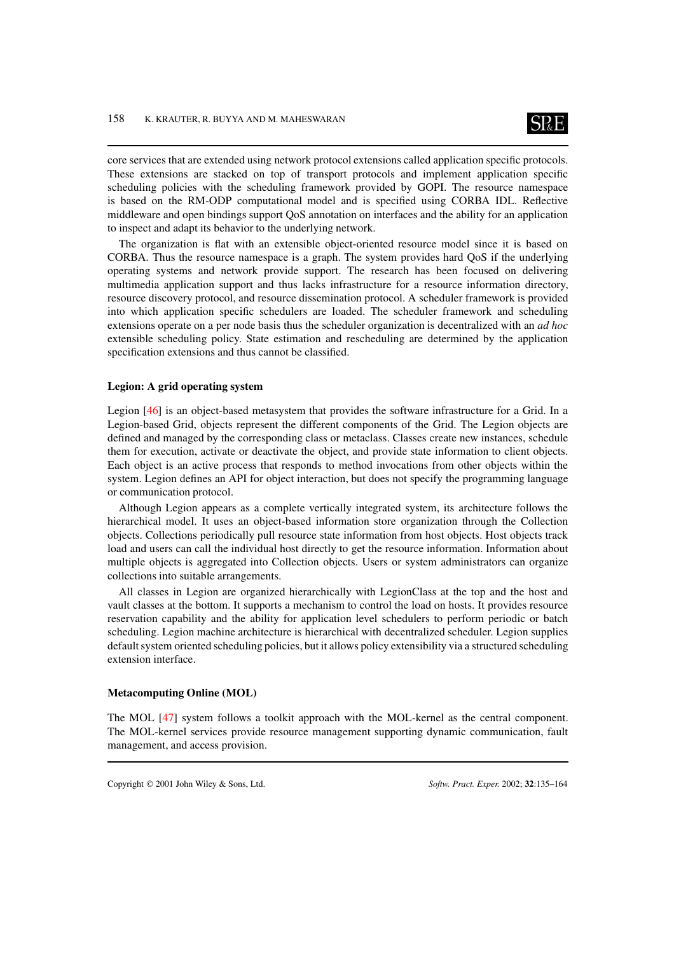core services that are extended using network protocol extensions called application specific protocols. These extensions are stacked on top of transport protocols and implement application specific scheduling policies with the scheduling framework provided by GOPI. The resource namespace is based on the RM-ODP computational model and is specified using CORBA IDL. Reflective middleware and open bindings support QoS annotation on interfaces and the ability for an application to inspect and adapt its behavior to the underlying network.

The organization is flat with an extensible object-oriented resource model since it is based on CORBA. Thus the resource namespace is a graph. The system provides hard QoS if the underlying operating systems and network provide support. The research has been focused on delivering multimedia application support and thus lacks infrastructure for a resource information directory, resource discovery protocol, and resource dissemination protocol. A scheduler framework is provided into which application specific schedulers are loaded. The scheduler framework and scheduling extensions operate on a per node basis thus the scheduler organization is decentralized with an *ad hoc* extensible scheduling policy. State estimation and rescheduling are determined by the application specification extensions and thus cannot be classified.

#### **Legion: A grid operating system**

Legion [[46\]](#page-29-9) is an object-based metasystem that provides the software infrastructure for a Grid. In a Legion-based Grid, objects represent the different components of the Grid. The Legion objects are defined and managed by the corresponding class or metaclass. Classes create new instances, schedule them for execution, activate or deactivate the object, and provide state information to client objects. Each object is an active process that responds to method invocations from other objects within the system. Legion defines an API for object interaction, but does not specify the programming language or communication protocol.

Although Legion appears as a complete vertically integrated system, its architecture follows the hierarchical model. It uses an object-based information store organization through the Collection objects. Collections periodically pull resource state information from host objects. Host objects track load and users can call the individual host directly to get the resource information. Information about multiple objects is aggregated into Collection objects. Users or system administrators can organize collections into suitable arrangements.

All classes in Legion are organized hierarchically with LegionClass at the top and the host and vault classes at the bottom. It supports a mechanism to control the load on hosts. It provides resource reservation capability and the ability for application level schedulers to perform periodic or batch scheduling. Legion machine architecture is hierarchical with decentralized scheduler. Legion supplies default system oriented scheduling policies, but it allows policy extensibility via a structured scheduling extension interface.

#### **Metacomputing Online (MOL)**

The MOL [\[47\]](#page-29-10) system follows a toolkit approach with the MOL-kernel as the central component. The MOL-kernel services provide resource management supporting dynamic communication, fault management, and access provision.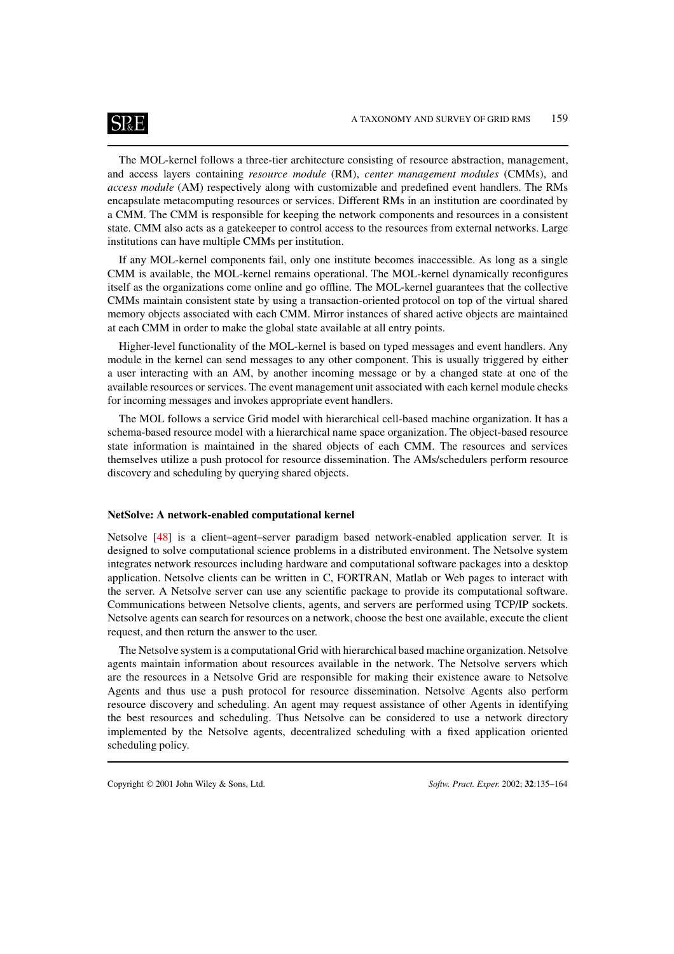The MOL-kernel follows a three-tier architecture consisting of resource abstraction, management, and access layers containing *resource module* (RM), *center management modules* (CMMs), and *access module* (AM) respectively along with customizable and predefined event handlers. The RMs encapsulate metacomputing resources or services. Different RMs in an institution are coordinated by a CMM. The CMM is responsible for keeping the network components and resources in a consistent state. CMM also acts as a gatekeeper to control access to the resources from external networks. Large institutions can have multiple CMMs per institution.

If any MOL-kernel components fail, only one institute becomes inaccessible. As long as a single CMM is available, the MOL-kernel remains operational. The MOL-kernel dynamically reconfigures itself as the organizations come online and go offline. The MOL-kernel guarantees that the collective CMMs maintain consistent state by using a transaction-oriented protocol on top of the virtual shared memory objects associated with each CMM. Mirror instances of shared active objects are maintained at each CMM in order to make the global state available at all entry points.

Higher-level functionality of the MOL-kernel is based on typed messages and event handlers. Any module in the kernel can send messages to any other component. This is usually triggered by either a user interacting with an AM, by another incoming message or by a changed state at one of the available resources or services. The event management unit associated with each kernel module checks for incoming messages and invokes appropriate event handlers.

The MOL follows a service Grid model with hierarchical cell-based machine organization. It has a schema-based resource model with a hierarchical name space organization. The object-based resource state information is maintained in the shared objects of each CMM. The resources and services themselves utilize a push protocol for resource dissemination. The AMs/schedulers perform resource discovery and scheduling by querying shared objects.

#### **NetSolve: A network-enabled computational kernel**

Netsolve [\[48\]](#page-29-11) is a client–agent–server paradigm based network-enabled application server. It is designed to solve computational science problems in a distributed environment. The Netsolve system integrates network resources including hardware and computational software packages into a desktop application. Netsolve clients can be written in C, FORTRAN, Matlab or Web pages to interact with the server. A Netsolve server can use any scientific package to provide its computational software. Communications between Netsolve clients, agents, and servers are performed using TCP/IP sockets. Netsolve agents can search for resources on a network, choose the best one available, execute the client request, and then return the answer to the user.

The Netsolve system is a computational Grid with hierarchical based machine organization. Netsolve agents maintain information about resources available in the network. The Netsolve servers which are the resources in a Netsolve Grid are responsible for making their existence aware to Netsolve Agents and thus use a push protocol for resource dissemination. Netsolve Agents also perform resource discovery and scheduling. An agent may request assistance of other Agents in identifying the best resources and scheduling. Thus Netsolve can be considered to use a network directory implemented by the Netsolve agents, decentralized scheduling with a fixed application oriented scheduling policy.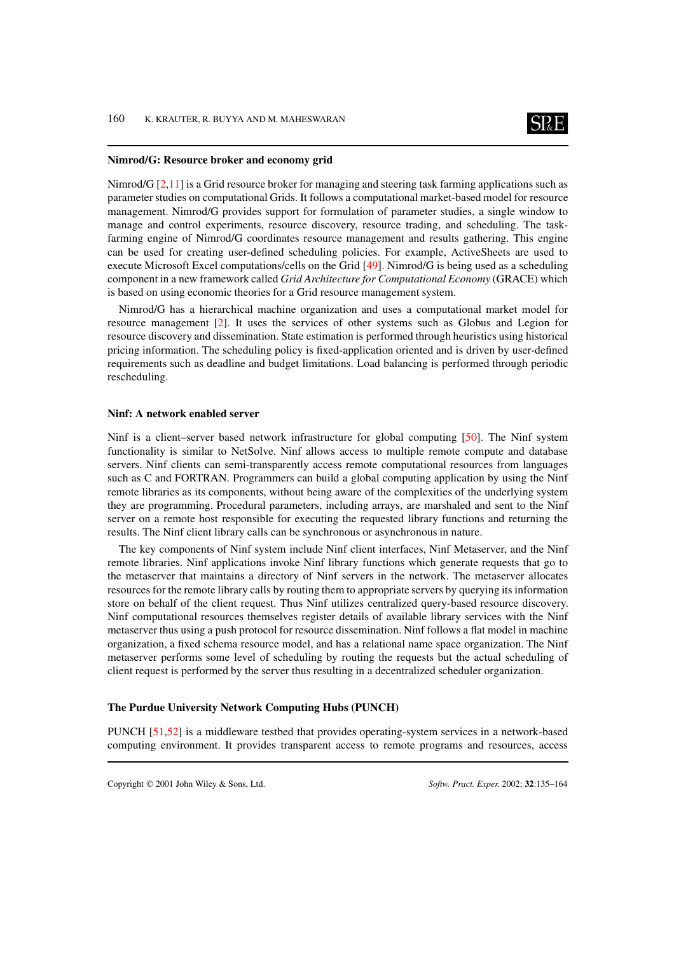

# **Nimrod/G: Resource broker and economy grid**

Nimrod/G [\[2,](#page-27-0)[11\]](#page-28-0) is a Grid resource broker for managing and steering task farming applications such as parameter studies on computational Grids. It follows a computational market-based model for resource management. Nimrod/G provides support for formulation of parameter studies, a single window to manage and control experiments, resource discovery, resource trading, and scheduling. The taskfarming engine of Nimrod/G coordinates resource management and results gathering. This engine can be used for creating user-defined scheduling policies. For example, ActiveSheets are used to execute Microsoft Excel computations/cells on the Grid [[49\]](#page-29-12). Nimrod/G is being used as a scheduling component in a new framework called *Grid Architecture for Computational Economy* (GRACE) which is based on using economic theories for a Grid resource management system.

Nimrod/G has a hierarchical machine organization and uses a computational market model for resource management [\[2](#page-27-0)]. It uses the services of other systems such as Globus and Legion for resource discovery and dissemination. State estimation is performed through heuristics using historical pricing information. The scheduling policy is fixed-application oriented and is driven by user-defined requirements such as deadline and budget limitations. Load balancing is performed through periodic rescheduling.

#### **Ninf: A network enabled server**

Ninf is a client–server based network infrastructure for global computing [[50\]](#page-29-13). The Ninf system functionality is similar to NetSolve. Ninf allows access to multiple remote compute and database servers. Ninf clients can semi-transparently access remote computational resources from languages such as C and FORTRAN. Programmers can build a global computing application by using the Ninf remote libraries as its components, without being aware of the complexities of the underlying system they are programming. Procedural parameters, including arrays, are marshaled and sent to the Ninf server on a remote host responsible for executing the requested library functions and returning the results. The Ninf client library calls can be synchronous or asynchronous in nature.

The key components of Ninf system include Ninf client interfaces, Ninf Metaserver, and the Ninf remote libraries. Ninf applications invoke Ninf library functions which generate requests that go to the metaserver that maintains a directory of Ninf servers in the network. The metaserver allocates resources for the remote library calls by routing them to appropriate servers by querying its information store on behalf of the client request. Thus Ninf utilizes centralized query-based resource discovery. Ninf computational resources themselves register details of available library services with the Ninf metaserver thus using a push protocol for resource dissemination. Ninf follows a flat model in machine organization, a fixed schema resource model, and has a relational name space organization. The Ninf metaserver performs some level of scheduling by routing the requests but the actual scheduling of client request is performed by the server thus resulting in a decentralized scheduler organization.

#### **The Purdue University Network Computing Hubs (PUNCH)**

PUNCH [\[51](#page-29-14)[,52\]](#page-29-15) is a middleware testbed that provides operating-system services in a network-based computing environment. It provides transparent access to remote programs and resources, access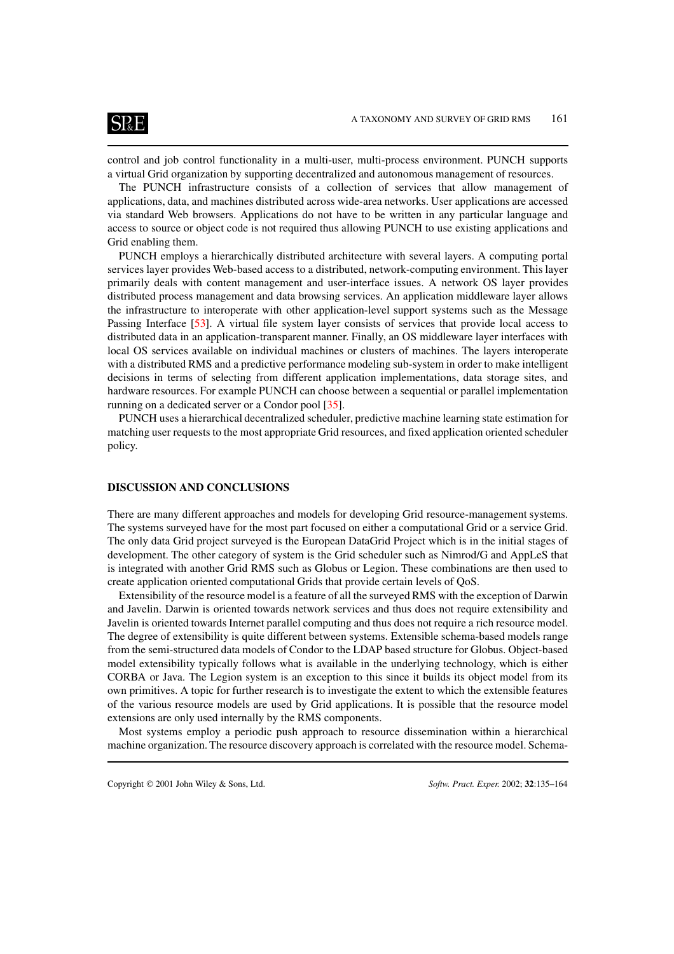

control and job control functionality in a multi-user, multi-process environment. PUNCH supports a virtual Grid organization by supporting decentralized and autonomous management of resources.

The PUNCH infrastructure consists of a collection of services that allow management of applications, data, and machines distributed across wide-area networks. User applications are accessed via standard Web browsers. Applications do not have to be written in any particular language and access to source or object code is not required thus allowing PUNCH to use existing applications and Grid enabling them.

PUNCH employs a hierarchically distributed architecture with several layers. A computing portal services layer provides Web-based access to a distributed, network-computing environment. This layer primarily deals with content management and user-interface issues. A network OS layer provides distributed process management and data browsing services. An application middleware layer allows the infrastructure to interoperate with other application-level support systems such as the Message Passing Interface [[53\]](#page-29-16). A virtual file system layer consists of services that provide local access to distributed data in an application-transparent manner. Finally, an OS middleware layer interfaces with local OS services available on individual machines or clusters of machines. The layers interoperate with a distributed RMS and a predictive performance modeling sub-system in order to make intelligent decisions in terms of selecting from different application implementations, data storage sites, and hardware resources. For example PUNCH can choose between a sequential or parallel implementation running on a dedicated server or a Condor pool [[35\]](#page-28-26).

PUNCH uses a hierarchical decentralized scheduler, predictive machine learning state estimation for matching user requests to the most appropriate Grid resources, and fixed application oriented scheduler policy.

# **DISCUSSION AND CONCLUSIONS**

There are many different approaches and models for developing Grid resource-management systems. The systems surveyed have for the most part focused on either a computational Grid or a service Grid. The only data Grid project surveyed is the European DataGrid Project which is in the initial stages of development. The other category of system is the Grid scheduler such as Nimrod/G and AppLeS that is integrated with another Grid RMS such as Globus or Legion. These combinations are then used to create application oriented computational Grids that provide certain levels of QoS.

Extensibility of the resource model is a feature of all the surveyed RMS with the exception of Darwin and Javelin. Darwin is oriented towards network services and thus does not require extensibility and Javelin is oriented towards Internet parallel computing and thus does not require a rich resource model. The degree of extensibility is quite different between systems. Extensible schema-based models range from the semi-structured data models of Condor to the LDAP based structure for Globus. Object-based model extensibility typically follows what is available in the underlying technology, which is either CORBA or Java. The Legion system is an exception to this since it builds its object model from its own primitives. A topic for further research is to investigate the extent to which the extensible features of the various resource models are used by Grid applications. It is possible that the resource model extensions are only used internally by the RMS components.

Most systems employ a periodic push approach to resource dissemination within a hierarchical machine organization. The resource discovery approach is correlated with the resource model. Schema-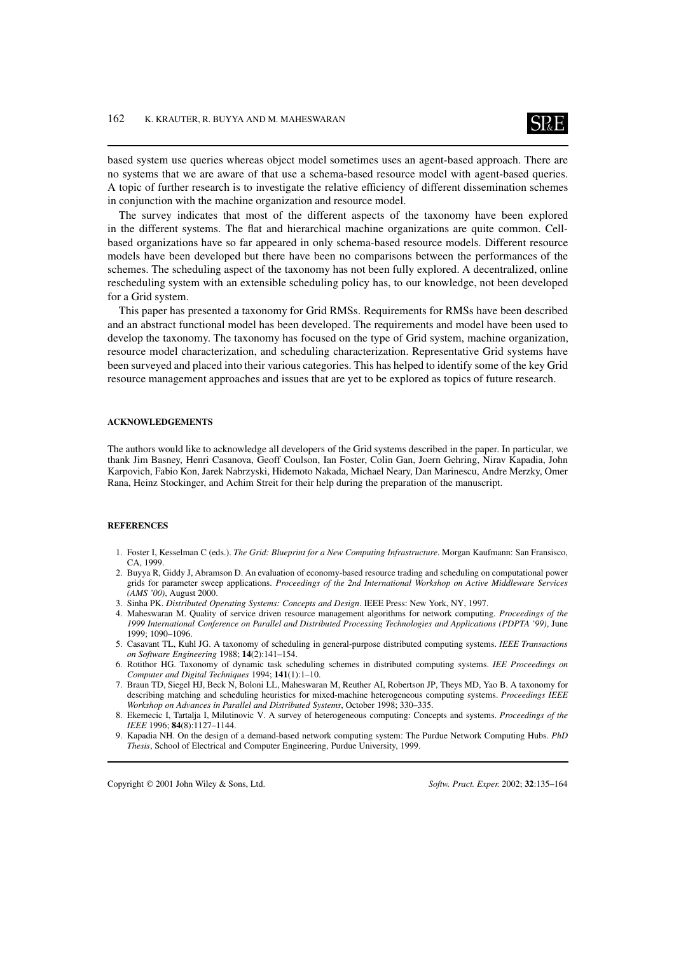

based system use queries whereas object model sometimes uses an agent-based approach. There are no systems that we are aware of that use a schema-based resource model with agent-based queries. A topic of further research is to investigate the relative efficiency of different dissemination schemes in conjunction with the machine organization and resource model.

The survey indicates that most of the different aspects of the taxonomy have been explored in the different systems. The flat and hierarchical machine organizations are quite common. Cellbased organizations have so far appeared in only schema-based resource models. Different resource models have been developed but there have been no comparisons between the performances of the schemes. The scheduling aspect of the taxonomy has not been fully explored. A decentralized, online rescheduling system with an extensible scheduling policy has, to our knowledge, not been developed for a Grid system.

This paper has presented a taxonomy for Grid RMSs. Requirements for RMSs have been described and an abstract functional model has been developed. The requirements and model have been used to develop the taxonomy. The taxonomy has focused on the type of Grid system, machine organization, resource model characterization, and scheduling characterization. Representative Grid systems have been surveyed and placed into their various categories. This has helped to identify some of the key Grid resource management approaches and issues that are yet to be explored as topics of future research.

#### **ACKNOWLEDGEMENTS**

The authors would like to acknowledge all developers of the Grid systems described in the paper. In particular, we thank Jim Basney, Henri Casanova, Geoff Coulson, Ian Foster, Colin Gan, Joern Gehring, Nirav Kapadia, John Karpovich, Fabio Kon, Jarek Nabrzyski, Hidemoto Nakada, Michael Neary, Dan Marinescu, Andre Merzky, Omer Rana, Heinz Stockinger, and Achim Streit for their help during the preparation of the manuscript.

# **REFERENCES**

- <span id="page-27-1"></span>1. Foster I, Kesselman C (eds.). *The Grid: Blueprint for a New Computing Infrastructure*. Morgan Kaufmann: San Fransisco, CA, 1999.
- <span id="page-27-0"></span>2. Buyya R, Giddy J, Abramson D. An evaluation of economy-based resource trading and scheduling on computational power grids for parameter sweep applications. *Proceedings of the 2nd International Workshop on Active Middleware Services (AMS '00)*, August 2000.
- <span id="page-27-5"></span>3. Sinha PK. *Distributed Operating Systems: Concepts and Design*. IEEE Press: New York, NY, 1997.
- <span id="page-27-3"></span>4. Maheswaran M. Quality of service driven resource management algorithms for network computing. *Proceedings of the 1999 International Conference on Parallel and Distributed Processing Technologies and Applications (PDPTA '99)*, June 1999; 1090–1096.
- <span id="page-27-6"></span>5. Casavant TL, Kuhl JG. A taxonomy of scheduling in general-purpose distributed computing systems. *IEEE Transactions on Software Engineering* 1988; **14**(2):141–154.
- <span id="page-27-2"></span>6. Rotithor HG. Taxonomy of dynamic task scheduling schemes in distributed computing systems. *IEE Proceedings on Computer and Digital Techniques* 1994; **141**(1):1–10.
- <span id="page-27-4"></span>7. Braun TD, Siegel HJ, Beck N, Boloni LL, Maheswaran M, Reuther AI, Robertson JP, Theys MD, Yao B. A taxonomy for describing matching and scheduling heuristics for mixed-machine heterogeneous computing systems. *Proceedings IEEE Workshop on Advances in Parallel and Distributed Systems*, October 1998; 330–335.
- <span id="page-27-8"></span>8. Ekemecic I, Tartalja I, Milutinovic V. A survey of heterogeneous computing: Concepts and systems. *Proceedings of the IEEE* 1996; **84**(8):1127–1144.
- <span id="page-27-7"></span>9. Kapadia NH. On the design of a demand-based network computing system: The Purdue Network Computing Hubs. *PhD Thesis*, School of Electrical and Computer Engineering, Purdue University, 1999.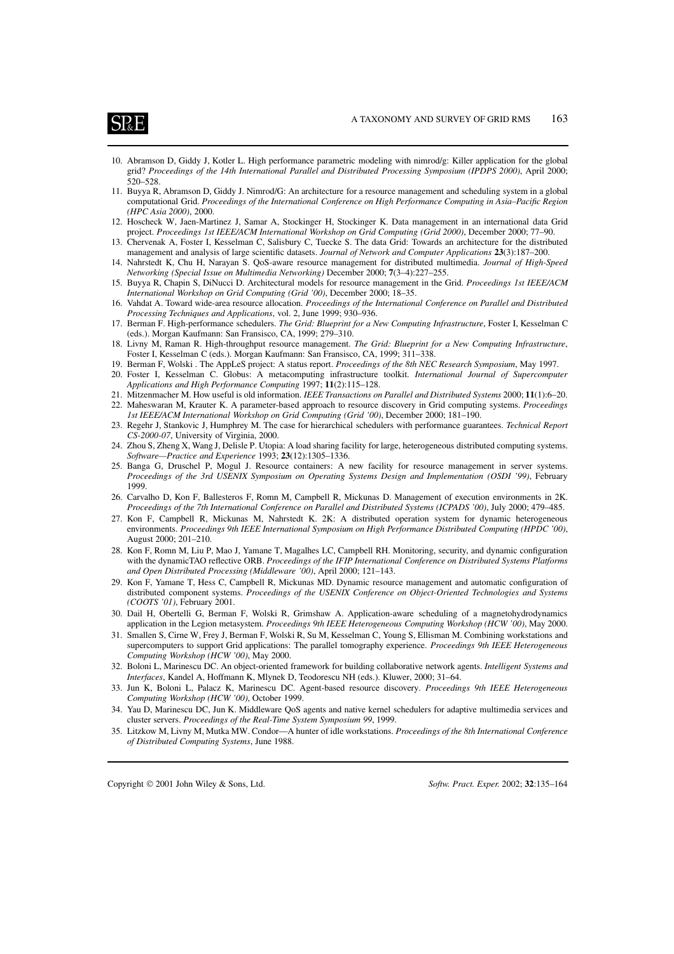

- <span id="page-28-1"></span>10. Abramson D, Giddy J, Kotler L. High performance parametric modeling with nimrod/g: Killer application for the global grid? *Proceedings of the 14th International Parallel and Distributed Processing Symposium (IPDPS 2000)*, April 2000; 520–528.
- <span id="page-28-0"></span>11. Buyya R, Abramson D, Giddy J. Nimrod/G: An architecture for a resource management and scheduling system in a global computational Grid. *Proceedings of the International Conference on High Performance Computing in Asia–Pacific Region (HPC Asia 2000)*, 2000.
- <span id="page-28-5"></span>12. Hoscheck W, Jaen-Martinez J, Samar A, Stockinger H, Stockinger K. Data management in an international data Grid project. *Proceedings 1st IEEE/ACM International Workshop on Grid Computing (Grid 2000)*, December 2000; 77–90.
- <span id="page-28-3"></span>13. Chervenak A, Foster I, Kesselman C, Salisbury C, Tuecke S. The data Grid: Towards an architecture for the distributed management and analysis of large scientific datasets. *Journal of Network and Computer Applications* **23**(3):187–200.
- <span id="page-28-4"></span>14. Nahrstedt K, Chu H, Narayan S. QoS-aware resource management for distributed multimedia. *Journal of High-Speed Networking (Special Issue on Multimedia Networking)* December 2000; **7**(3–4):227–255.
- <span id="page-28-2"></span>15. Buyya R, Chapin S, DiNucci D. Architectural models for resource management in the Grid. *Proceedings 1st IEEE/ACM International Workshop on Grid Computing (Grid '00)*, December 2000; 18–35.
- <span id="page-28-9"></span>16. Vahdat A. Toward wide-area resource allocation. *Proceedings of the International Conference on Parallel and Distributed Processing Techniques and Applications*, vol. 2, June 1999; 930–936.
- <span id="page-28-8"></span>17. Berman F. High-performance schedulers. *The Grid: Blueprint for a New Computing Infrastructure*, Foster I, Kesselman C (eds.). Morgan Kaufmann: San Fransisco, CA, 1999; 279–310.
- <span id="page-28-10"></span>18. Livny M, Raman R. High-throughput resource management. *The Grid: Blueprint for a New Computing Infrastructure*, Foster I, Kesselman C (eds.). Morgan Kaufmann: San Fransisco, CA, 1999; 311–338.
- <span id="page-28-7"></span><span id="page-28-6"></span>19. Berman F, Wolski . The AppLeS project: A status report. *Proceedings of the 8th NEC Research Symposium*, May 1997.
- 20. Foster I, Kesselman C. Globus: A metacomputing infrastructure toolkit. *International Journal of Supercomputer Applications and High Performance Computing* 1997; **11**(2):115–128.
- <span id="page-28-12"></span><span id="page-28-11"></span>21. Mitzenmacher M. How useful is old information. *IEEE Transactions on Parallel and Distributed Systems* 2000; **11**(1):6–20. 22. Maheswaran M, Krauter K. A parameter-based approach to resource discovery in Grid computing systems. *Proceedings 1st IEEE/ACM International Workshop on Grid Computing (Grid '00)*, December 2000; 181–190.
- <span id="page-28-13"></span>23. Regehr J, Stankovic J, Humphrey M. The case for hierarchical schedulers with performance guarantees. *Technical Report CS-2000-07*, University of Virginia, 2000.
- <span id="page-28-15"></span>24. Zhou S, Zheng X, Wang J, Delisle P. Utopia: A load sharing facility for large, heterogeneous distributed computing systems. *Software—Practice and Experience* 1993; **23**(12):1305–1336.
- <span id="page-28-14"></span>25. Banga G, Druschel P, Mogul J. Resource containers: A new facility for resource management in server systems. *Proceedings of the 3rd USENIX Symposium on Operating Systems Design and Implementation (OSDI '99)*, February 1999.
- <span id="page-28-19"></span>26. Carvalho D, Kon F, Ballesteros F, Romn M, Campbell R, Mickunas D. Management of execution environments in 2K. *Proceedings of the 7th International Conference on Parallel and Distributed Systems (ICPADS '00)*, July 2000; 479–485.
- <span id="page-28-16"></span>27. Kon F, Campbell R, Mickunas M, Nahrstedt K. 2K: A distributed operation system for dynamic heterogeneous environments. *Proceedings 9th IEEE International Symposium on High Performance Distributed Computing (HPDC '00)*, August 2000; 201–210.
- <span id="page-28-17"></span>28. Kon F, Romn M, Liu P, Mao J, Yamane T, Magalhes LC, Campbell RH. Monitoring, security, and dynamic configuration with the dynamicTAO reflective ORB. *Proceedings of the IFIP International Conference on Distributed Systems Platforms and Open Distributed Processing (Middleware '00)*, April 2000; 121–143.
- <span id="page-28-18"></span>29. Kon F, Yamane T, Hess C, Campbell R, Mickunas MD. Dynamic resource management and automatic configuration of distributed component systems. *Proceedings of the USENIX Conference on Object-Oriented Technologies and Systems (COOTS '01)*, February 2001.
- <span id="page-28-24"></span>30. Dail H, Obertelli G, Berman F, Wolski R, Grimshaw A. Application-aware scheduling of a magnetohydrodynamics application in the Legion metasystem. *Proceedings 9th IEEE Heterogeneous Computing Workshop (HCW '00)*, May 2000.
- <span id="page-28-23"></span>31. Smallen S, Cirne W, Frey J, Berman F, Wolski R, Su M, Kesselman C, Young S, Ellisman M. Combining workstations and supercomputers to support Grid applications: The parallel tomography experience. *Proceedings 9th IEEE Heterogeneous Computing Workshop (HCW '00)*, May 2000.
- <span id="page-28-21"></span>32. Boloni L, Marinescu DC. An object-oriented framework for building collaborative network agents. *Intelligent Systems and Interfaces*, Kandel A, Hoffmann K, Mlynek D, Teodorescu NH (eds.). Kluwer, 2000; 31–64.
- <span id="page-28-22"></span>33. Jun K, Boloni L, Palacz K, Marinescu DC. Agent-based resource discovery. *Proceedings 9th IEEE Heterogeneous Computing Workshop (HCW '00)*, October 1999.
- <span id="page-28-20"></span>34. Yau D, Marinescu DC, Jun K. Middleware QoS agents and native kernel schedulers for adaptive multimedia services and cluster servers. *Proceedings of the Real-Time System Symposium 99*, 1999.
- <span id="page-28-26"></span><span id="page-28-25"></span>35. Litzkow M, Livny M, Mutka MW. Condor—A hunter of idle workstations. *Proceedings of the 8th International Conference of Distributed Computing Systems*, June 1988.